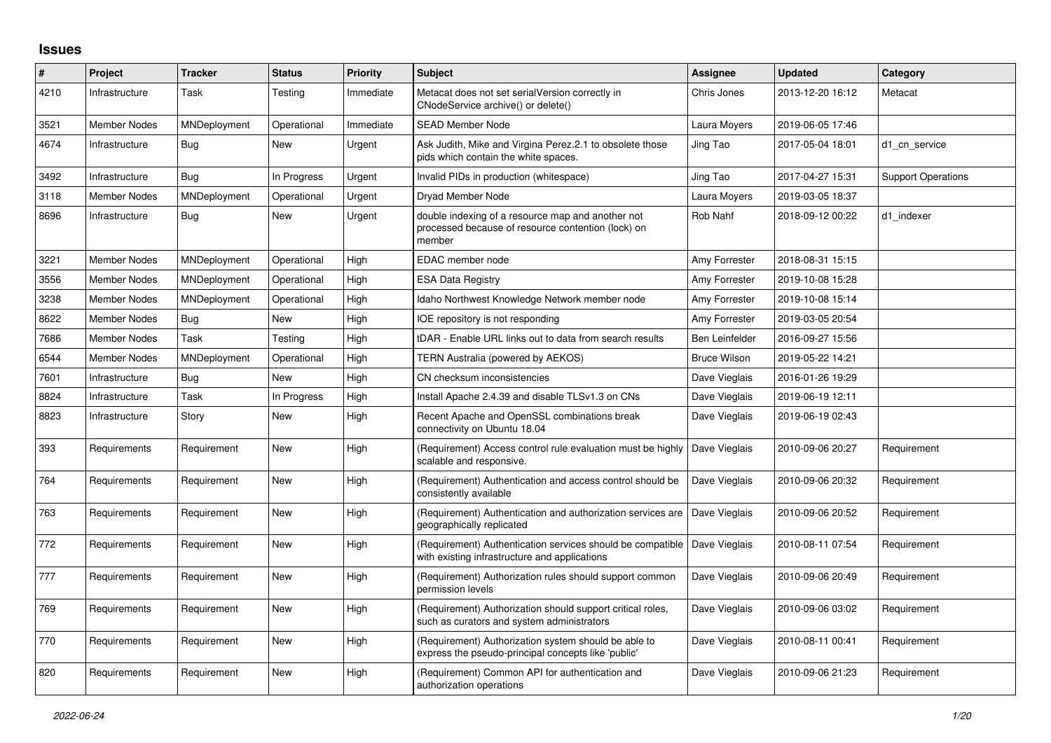## **Issues**

| #    | Project             | <b>Tracker</b> | <b>Status</b> | <b>Priority</b> | <b>Subject</b>                                                                                                    | Assignee              | <b>Updated</b>   | Category                  |
|------|---------------------|----------------|---------------|-----------------|-------------------------------------------------------------------------------------------------------------------|-----------------------|------------------|---------------------------|
| 4210 | Infrastructure      | Task           | Testing       | Immediate       | Metacat does not set serialVersion correctly in<br>CNodeService archive() or delete()                             | Chris Jones           | 2013-12-20 16:12 | Metacat                   |
| 3521 | <b>Member Nodes</b> | MNDeployment   | Operational   | Immediate       | <b>SEAD Member Node</b>                                                                                           | Laura Moyers          | 2019-06-05 17:46 |                           |
| 4674 | Infrastructure      | Bug            | New           | Urgent          | Ask Judith, Mike and Virgina Perez.2.1 to obsolete those<br>pids which contain the white spaces.                  | Jing Tao              | 2017-05-04 18:01 | d1 cn service             |
| 3492 | Infrastructure      | Bug            | In Progress   | Urgent          | Invalid PIDs in production (whitespace)                                                                           | Jing Tao              | 2017-04-27 15:31 | <b>Support Operations</b> |
| 3118 | <b>Member Nodes</b> | MNDeployment   | Operational   | Urgent          | Dryad Member Node                                                                                                 | Laura Moyers          | 2019-03-05 18:37 |                           |
| 8696 | Infrastructure      | <b>Bug</b>     | New           | Urgent          | double indexing of a resource map and another not<br>processed because of resource contention (lock) on<br>member | Rob Nahf              | 2018-09-12 00:22 | d1 indexer                |
| 3221 | <b>Member Nodes</b> | MNDeployment   | Operational   | High            | EDAC member node                                                                                                  | Amy Forrester         | 2018-08-31 15:15 |                           |
| 3556 | <b>Member Nodes</b> | MNDeployment   | Operational   | High            | <b>ESA Data Registry</b>                                                                                          | Amy Forrester         | 2019-10-08 15:28 |                           |
| 3238 | Member Nodes        | MNDeployment   | Operational   | High            | Idaho Northwest Knowledge Network member node                                                                     | Amy Forrester         | 2019-10-08 15:14 |                           |
| 8622 | <b>Member Nodes</b> | <b>Bug</b>     | <b>New</b>    | High            | IOE repository is not responding                                                                                  | Amy Forrester         | 2019-03-05 20:54 |                           |
| 7686 | <b>Member Nodes</b> | Task           | Testing       | High            | tDAR - Enable URL links out to data from search results                                                           | <b>Ben Leinfelder</b> | 2016-09-27 15:56 |                           |
| 6544 | <b>Member Nodes</b> | MNDeployment   | Operational   | High            | TERN Australia (powered by AEKOS)                                                                                 | <b>Bruce Wilson</b>   | 2019-05-22 14:21 |                           |
| 7601 | Infrastructure      | <b>Bug</b>     | <b>New</b>    | High            | CN checksum inconsistencies                                                                                       | Dave Vieglais         | 2016-01-26 19:29 |                           |
| 8824 | Infrastructure      | Task           | In Progress   | High            | Install Apache 2.4.39 and disable TLSv1.3 on CNs                                                                  | Dave Vieglais         | 2019-06-19 12:11 |                           |
| 8823 | Infrastructure      | Story          | New           | High            | Recent Apache and OpenSSL combinations break<br>connectivity on Ubuntu 18.04                                      | Dave Vieglais         | 2019-06-19 02:43 |                           |
| 393  | Requirements        | Requirement    | New           | High            | (Requirement) Access control rule evaluation must be highly<br>scalable and responsive.                           | Dave Vieglais         | 2010-09-06 20:27 | Requirement               |
| 764  | Requirements        | Requirement    | New           | High            | (Requirement) Authentication and access control should be<br>consistently available                               | Dave Vieglais         | 2010-09-06 20:32 | Requirement               |
| 763  | Requirements        | Requirement    | New           | High            | (Requirement) Authentication and authorization services are<br>geographically replicated                          | Dave Vieglais         | 2010-09-06 20:52 | Requirement               |
| 772  | Requirements        | Requirement    | New           | High            | (Requirement) Authentication services should be compatible<br>with existing infrastructure and applications       | Dave Vieglais         | 2010-08-11 07:54 | Requirement               |
| 777  | Requirements        | Requirement    | New           | High            | (Requirement) Authorization rules should support common<br>permission levels                                      | Dave Vieglais         | 2010-09-06 20:49 | Requirement               |
| 769  | Requirements        | Requirement    | New           | High            | (Requirement) Authorization should support critical roles,<br>such as curators and system administrators          | Dave Vieglais         | 2010-09-06 03:02 | Requirement               |
| 770  | Requirements        | Requirement    | New           | High            | (Requirement) Authorization system should be able to<br>express the pseudo-principal concepts like 'public'       | Dave Vieglais         | 2010-08-11 00:41 | Requirement               |
| 820  | Requirements        | Requirement    | New           | High            | (Requirement) Common API for authentication and<br>authorization operations                                       | Dave Vieglais         | 2010-09-06 21:23 | Requirement               |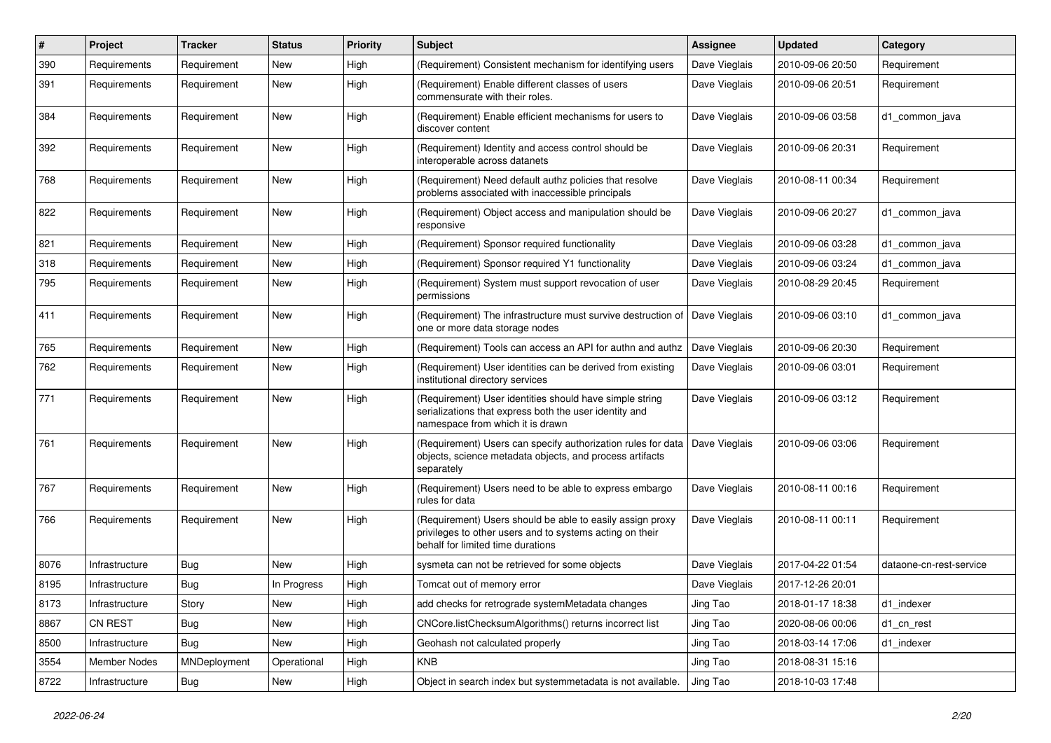| #    | Project             | <b>Tracker</b> | <b>Status</b> | <b>Priority</b> | <b>Subject</b>                                                                                                                                             | Assignee      | <b>Updated</b>   | Category                |
|------|---------------------|----------------|---------------|-----------------|------------------------------------------------------------------------------------------------------------------------------------------------------------|---------------|------------------|-------------------------|
| 390  | Requirements        | Requirement    | New           | High            | (Requirement) Consistent mechanism for identifying users                                                                                                   | Dave Vieglais | 2010-09-06 20:50 | Requirement             |
| 391  | Requirements        | Requirement    | New           | High            | (Requirement) Enable different classes of users<br>commensurate with their roles.                                                                          | Dave Vieglais | 2010-09-06 20:51 | Requirement             |
| 384  | Requirements        | Requirement    | New           | High            | (Requirement) Enable efficient mechanisms for users to<br>discover content                                                                                 | Dave Vieglais | 2010-09-06 03:58 | d1 common java          |
| 392  | Requirements        | Requirement    | <b>New</b>    | High            | (Requirement) Identity and access control should be<br>interoperable across datanets                                                                       | Dave Vieglais | 2010-09-06 20:31 | Requirement             |
| 768  | Requirements        | Requirement    | New           | High            | (Requirement) Need default authz policies that resolve<br>problems associated with inaccessible principals                                                 | Dave Vieglais | 2010-08-11 00:34 | Requirement             |
| 822  | Requirements        | Requirement    | New           | High            | (Requirement) Object access and manipulation should be<br>responsive                                                                                       | Dave Vieglais | 2010-09-06 20:27 | d1 common java          |
| 821  | Requirements        | Requirement    | New           | High            | (Requirement) Sponsor required functionality                                                                                                               | Dave Vieglais | 2010-09-06 03:28 | d1_common_java          |
| 318  | Requirements        | Requirement    | New           | High            | (Requirement) Sponsor required Y1 functionality                                                                                                            | Dave Vieglais | 2010-09-06 03:24 | d1 common java          |
| 795  | Requirements        | Requirement    | New           | High            | (Requirement) System must support revocation of user<br>permissions                                                                                        | Dave Vieglais | 2010-08-29 20:45 | Requirement             |
| 411  | Requirements        | Requirement    | New           | High            | (Requirement) The infrastructure must survive destruction of<br>one or more data storage nodes                                                             | Dave Vieglais | 2010-09-06 03:10 | d1_common_java          |
| 765  | Requirements        | Requirement    | New           | High            | (Requirement) Tools can access an API for authn and authz                                                                                                  | Dave Vieglais | 2010-09-06 20:30 | Requirement             |
| 762  | Requirements        | Requirement    | New           | High            | (Requirement) User identities can be derived from existing<br>institutional directory services                                                             | Dave Vieglais | 2010-09-06 03:01 | Requirement             |
| 771  | Requirements        | Requirement    | New           | High            | (Requirement) User identities should have simple string<br>serializations that express both the user identity and<br>namespace from which it is drawn      | Dave Vieglais | 2010-09-06 03:12 | Requirement             |
| 761  | Requirements        | Requirement    | New           | High            | (Requirement) Users can specify authorization rules for data<br>objects, science metadata objects, and process artifacts<br>separately                     | Dave Vieglais | 2010-09-06 03:06 | Requirement             |
| 767  | Requirements        | Requirement    | New           | High            | (Requirement) Users need to be able to express embargo<br>rules for data                                                                                   | Dave Vieglais | 2010-08-11 00:16 | Requirement             |
| 766  | Requirements        | Requirement    | New           | High            | (Requirement) Users should be able to easily assign proxy<br>privileges to other users and to systems acting on their<br>behalf for limited time durations | Dave Vieglais | 2010-08-11 00:11 | Requirement             |
| 8076 | Infrastructure      | <b>Bug</b>     | <b>New</b>    | High            | sysmeta can not be retrieved for some objects                                                                                                              | Dave Vieglais | 2017-04-22 01:54 | dataone-cn-rest-service |
| 8195 | Infrastructure      | <b>Bug</b>     | In Progress   | High            | Tomcat out of memory error                                                                                                                                 | Dave Vieglais | 2017-12-26 20:01 |                         |
| 8173 | Infrastructure      | Story          | New           | High            | add checks for retrograde systemMetadata changes                                                                                                           | Jing Tao      | 2018-01-17 18:38 | d1_indexer              |
| 8867 | CN REST             | Bug            | New           | High            | CNCore.listChecksumAlgorithms() returns incorrect list                                                                                                     | Jing Tao      | 2020-08-06 00:06 | d1_cn_rest              |
| 8500 | Infrastructure      | Bug            | New           | High            | Geohash not calculated properly                                                                                                                            | Jing Tao      | 2018-03-14 17:06 | d1 indexer              |
| 3554 | <b>Member Nodes</b> | MNDeployment   | Operational   | High            | <b>KNB</b>                                                                                                                                                 | Jing Tao      | 2018-08-31 15:16 |                         |
| 8722 | Infrastructure      | Bug            | New           | High            | Object in search index but systemmetadata is not available.                                                                                                | Jing Tao      | 2018-10-03 17:48 |                         |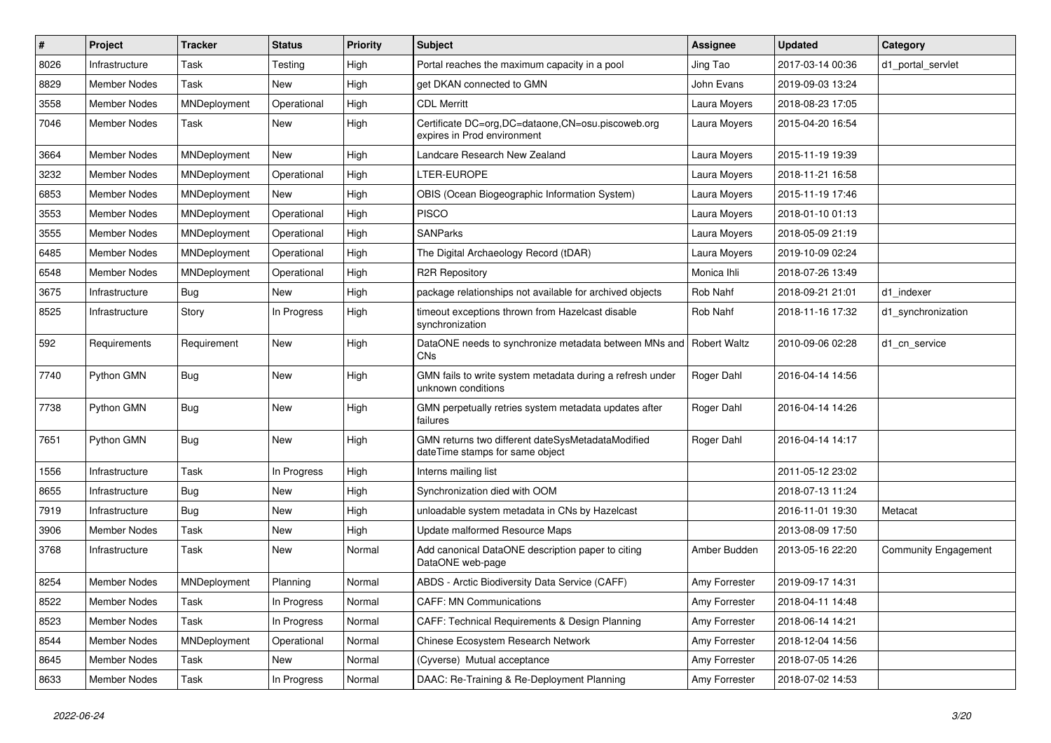| $\#$ | Project             | <b>Tracker</b>      | <b>Status</b> | <b>Priority</b> | <b>Subject</b>                                                                       | <b>Assignee</b> | <b>Updated</b>   | Category                    |
|------|---------------------|---------------------|---------------|-----------------|--------------------------------------------------------------------------------------|-----------------|------------------|-----------------------------|
| 8026 | Infrastructure      | Task                | Testing       | High            | Portal reaches the maximum capacity in a pool                                        | Jing Tao        | 2017-03-14 00:36 | d1 portal servlet           |
| 8829 | <b>Member Nodes</b> | Task                | New           | High            | get DKAN connected to GMN                                                            | John Evans      | 2019-09-03 13:24 |                             |
| 3558 | <b>Member Nodes</b> | MNDeployment        | Operational   | High            | <b>CDL Merritt</b>                                                                   | Laura Moyers    | 2018-08-23 17:05 |                             |
| 7046 | Member Nodes        | Task                | New           | High            | Certificate DC=org, DC=dataone, CN=osu.piscoweb.org<br>expires in Prod environment   | Laura Moyers    | 2015-04-20 16:54 |                             |
| 3664 | <b>Member Nodes</b> | MNDeployment        | New           | High            | Landcare Research New Zealand                                                        | Laura Moyers    | 2015-11-19 19:39 |                             |
| 3232 | <b>Member Nodes</b> | MNDeployment        | Operational   | High            | LTER-EUROPE                                                                          | Laura Moyers    | 2018-11-21 16:58 |                             |
| 6853 | <b>Member Nodes</b> | MNDeployment        | New           | High            | OBIS (Ocean Biogeographic Information System)                                        | Laura Moyers    | 2015-11-19 17:46 |                             |
| 3553 | <b>Member Nodes</b> | MNDeployment        | Operational   | High            | <b>PISCO</b>                                                                         | Laura Moyers    | 2018-01-10 01:13 |                             |
| 3555 | <b>Member Nodes</b> | MNDeployment        | Operational   | High            | <b>SANParks</b>                                                                      | Laura Moyers    | 2018-05-09 21:19 |                             |
| 6485 | <b>Member Nodes</b> | MNDeployment        | Operational   | High            | The Digital Archaeology Record (tDAR)                                                | Laura Moyers    | 2019-10-09 02:24 |                             |
| 6548 | Member Nodes        | <b>MNDeployment</b> | Operational   | High            | <b>R2R Repository</b>                                                                | Monica Ihli     | 2018-07-26 13:49 |                             |
| 3675 | Infrastructure      | <b>Bug</b>          | New           | High            | package relationships not available for archived objects                             | Rob Nahf        | 2018-09-21 21:01 | d1 indexer                  |
| 8525 | Infrastructure      | Story               | In Progress   | High            | timeout exceptions thrown from Hazelcast disable<br>synchronization                  | Rob Nahf        | 2018-11-16 17:32 | d1_synchronization          |
| 592  | Requirements        | Requirement         | New           | High            | DataONE needs to synchronize metadata between MNs and   Robert Waltz<br><b>CNs</b>   |                 | 2010-09-06 02:28 | d1 cn service               |
| 7740 | Python GMN          | Bug                 | New           | High            | GMN fails to write system metadata during a refresh under<br>unknown conditions      | Roger Dahl      | 2016-04-14 14:56 |                             |
| 7738 | Python GMN          | Bug                 | New           | High            | GMN perpetually retries system metadata updates after<br>failures                    | Roger Dahl      | 2016-04-14 14:26 |                             |
| 7651 | Python GMN          | Bug                 | New           | High            | GMN returns two different dateSysMetadataModified<br>dateTime stamps for same object | Roger Dahl      | 2016-04-14 14:17 |                             |
| 1556 | Infrastructure      | Task                | In Progress   | High            | Interns mailing list                                                                 |                 | 2011-05-12 23:02 |                             |
| 8655 | Infrastructure      | <b>Bug</b>          | New           | High            | Synchronization died with OOM                                                        |                 | 2018-07-13 11:24 |                             |
| 7919 | Infrastructure      | <b>Bug</b>          | <b>New</b>    | High            | unloadable system metadata in CNs by Hazelcast                                       |                 | 2016-11-01 19:30 | Metacat                     |
| 3906 | Member Nodes        | Task                | <b>New</b>    | High            | Update malformed Resource Maps                                                       |                 | 2013-08-09 17:50 |                             |
| 3768 | Infrastructure      | Task                | New           | Normal          | Add canonical DataONE description paper to citing<br>DataONE web-page                | Amber Budden    | 2013-05-16 22:20 | <b>Community Engagement</b> |
| 8254 | Member Nodes        | MNDeployment        | Planning      | Normal          | ABDS - Arctic Biodiversity Data Service (CAFF)                                       | Amy Forrester   | 2019-09-17 14:31 |                             |
| 8522 | Member Nodes        | Task                | In Progress   | Normal          | <b>CAFF: MN Communications</b>                                                       | Amy Forrester   | 2018-04-11 14:48 |                             |
| 8523 | Member Nodes        | Task                | In Progress   | Normal          | CAFF: Technical Requirements & Design Planning                                       | Amy Forrester   | 2018-06-14 14:21 |                             |
| 8544 | Member Nodes        | MNDeployment        | Operational   | Normal          | Chinese Ecosystem Research Network                                                   | Amy Forrester   | 2018-12-04 14:56 |                             |
| 8645 | Member Nodes        | Task                | New           | Normal          | (Cyverse) Mutual acceptance                                                          | Amy Forrester   | 2018-07-05 14:26 |                             |
| 8633 | Member Nodes        | Task                | In Progress   | Normal          | DAAC: Re-Training & Re-Deployment Planning                                           | Amy Forrester   | 2018-07-02 14:53 |                             |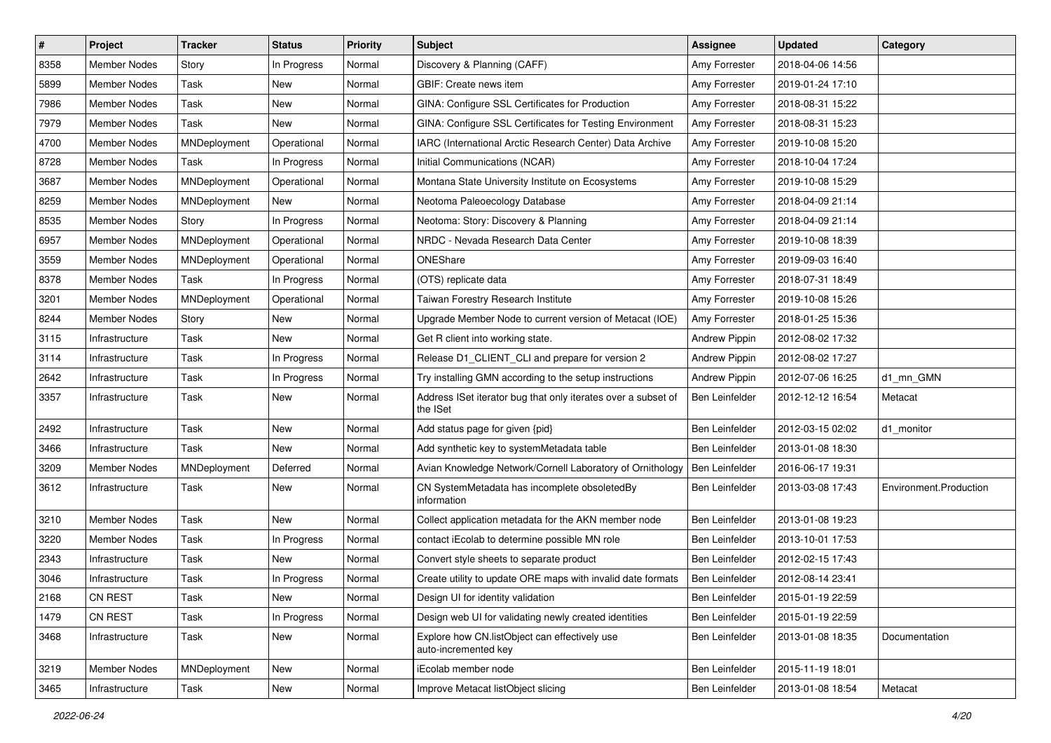| #    | Project             | <b>Tracker</b> | <b>Status</b> | <b>Priority</b> | Subject                                                                   | Assignee             | <b>Updated</b>   | Category               |
|------|---------------------|----------------|---------------|-----------------|---------------------------------------------------------------------------|----------------------|------------------|------------------------|
| 8358 | <b>Member Nodes</b> | Story          | In Progress   | Normal          | Discovery & Planning (CAFF)                                               | Amy Forrester        | 2018-04-06 14:56 |                        |
| 5899 | <b>Member Nodes</b> | Task           | New           | Normal          | GBIF: Create news item                                                    | Amy Forrester        | 2019-01-24 17:10 |                        |
| 7986 | <b>Member Nodes</b> | Task           | New           | Normal          | GINA: Configure SSL Certificates for Production                           | Amy Forrester        | 2018-08-31 15:22 |                        |
| 7979 | Member Nodes        | Task           | New           | Normal          | GINA: Configure SSL Certificates for Testing Environment                  | Amy Forrester        | 2018-08-31 15:23 |                        |
| 4700 | <b>Member Nodes</b> | MNDeployment   | Operational   | Normal          | IARC (International Arctic Research Center) Data Archive                  | Amy Forrester        | 2019-10-08 15:20 |                        |
| 8728 | Member Nodes        | Task           | In Progress   | Normal          | Initial Communications (NCAR)                                             | Amy Forrester        | 2018-10-04 17:24 |                        |
| 3687 | <b>Member Nodes</b> | MNDeployment   | Operational   | Normal          | Montana State University Institute on Ecosystems                          | Amy Forrester        | 2019-10-08 15:29 |                        |
| 8259 | <b>Member Nodes</b> | MNDeployment   | New           | Normal          | Neotoma Paleoecology Database                                             | Amy Forrester        | 2018-04-09 21:14 |                        |
| 8535 | <b>Member Nodes</b> | Story          | In Progress   | Normal          | Neotoma: Story: Discovery & Planning                                      | Amy Forrester        | 2018-04-09 21:14 |                        |
| 6957 | <b>Member Nodes</b> | MNDeployment   | Operational   | Normal          | NRDC - Nevada Research Data Center                                        | Amy Forrester        | 2019-10-08 18:39 |                        |
| 3559 | <b>Member Nodes</b> | MNDeployment   | Operational   | Normal          | ONEShare                                                                  | Amy Forrester        | 2019-09-03 16:40 |                        |
| 8378 | Member Nodes        | Task           | In Progress   | Normal          | (OTS) replicate data                                                      | Amy Forrester        | 2018-07-31 18:49 |                        |
| 3201 | Member Nodes        | MNDeployment   | Operational   | Normal          | Taiwan Forestry Research Institute                                        | Amy Forrester        | 2019-10-08 15:26 |                        |
| 8244 | <b>Member Nodes</b> | Story          | New           | Normal          | Upgrade Member Node to current version of Metacat (IOE)                   | Amy Forrester        | 2018-01-25 15:36 |                        |
| 3115 | Infrastructure      | Task           | New           | Normal          | Get R client into working state.                                          | <b>Andrew Pippin</b> | 2012-08-02 17:32 |                        |
| 3114 | Infrastructure      | Task           | In Progress   | Normal          | Release D1_CLIENT_CLI and prepare for version 2                           | <b>Andrew Pippin</b> | 2012-08-02 17:27 |                        |
| 2642 | Infrastructure      | Task           | In Progress   | Normal          | Try installing GMN according to the setup instructions                    | <b>Andrew Pippin</b> | 2012-07-06 16:25 | d1_mn_GMN              |
| 3357 | Infrastructure      | Task           | New           | Normal          | Address ISet iterator bug that only iterates over a subset of<br>the ISet | Ben Leinfelder       | 2012-12-12 16:54 | Metacat                |
| 2492 | Infrastructure      | Task           | <b>New</b>    | Normal          | Add status page for given {pid}                                           | Ben Leinfelder       | 2012-03-15 02:02 | d1_monitor             |
| 3466 | Infrastructure      | Task           | New           | Normal          | Add synthetic key to systemMetadata table                                 | Ben Leinfelder       | 2013-01-08 18:30 |                        |
| 3209 | <b>Member Nodes</b> | MNDeployment   | Deferred      | Normal          | Avian Knowledge Network/Cornell Laboratory of Ornithology                 | Ben Leinfelder       | 2016-06-17 19:31 |                        |
| 3612 | Infrastructure      | Task           | New           | Normal          | CN SystemMetadata has incomplete obsoletedBy<br>information               | Ben Leinfelder       | 2013-03-08 17:43 | Environment.Production |
| 3210 | Member Nodes        | Task           | New           | Normal          | Collect application metadata for the AKN member node                      | Ben Leinfelder       | 2013-01-08 19:23 |                        |
| 3220 | <b>Member Nodes</b> | Task           | In Progress   | Normal          | contact iEcolab to determine possible MN role                             | Ben Leinfelder       | 2013-10-01 17:53 |                        |
| 2343 | Infrastructure      | Task           | New           | Normal          | Convert style sheets to separate product                                  | Ben Leinfelder       | 2012-02-15 17:43 |                        |
| 3046 | Infrastructure      | Task           | In Progress   | Normal          | Create utility to update ORE maps with invalid date formats               | Ben Leinfelder       | 2012-08-14 23:41 |                        |
| 2168 | <b>CN REST</b>      | Task           | New           | Normal          | Design UI for identity validation                                         | Ben Leinfelder       | 2015-01-19 22:59 |                        |
| 1479 | CN REST             | Task           | In Progress   | Normal          | Design web UI for validating newly created identities                     | Ben Leinfelder       | 2015-01-19 22:59 |                        |
| 3468 | Infrastructure      | Task           | New           | Normal          | Explore how CN.listObject can effectively use<br>auto-incremented key     | Ben Leinfelder       | 2013-01-08 18:35 | Documentation          |
| 3219 | Member Nodes        | MNDeployment   | New           | Normal          | iEcolab member node                                                       | Ben Leinfelder       | 2015-11-19 18:01 |                        |
| 3465 | Infrastructure      | Task           | New           | Normal          | Improve Metacat listObject slicing                                        | Ben Leinfelder       | 2013-01-08 18:54 | Metacat                |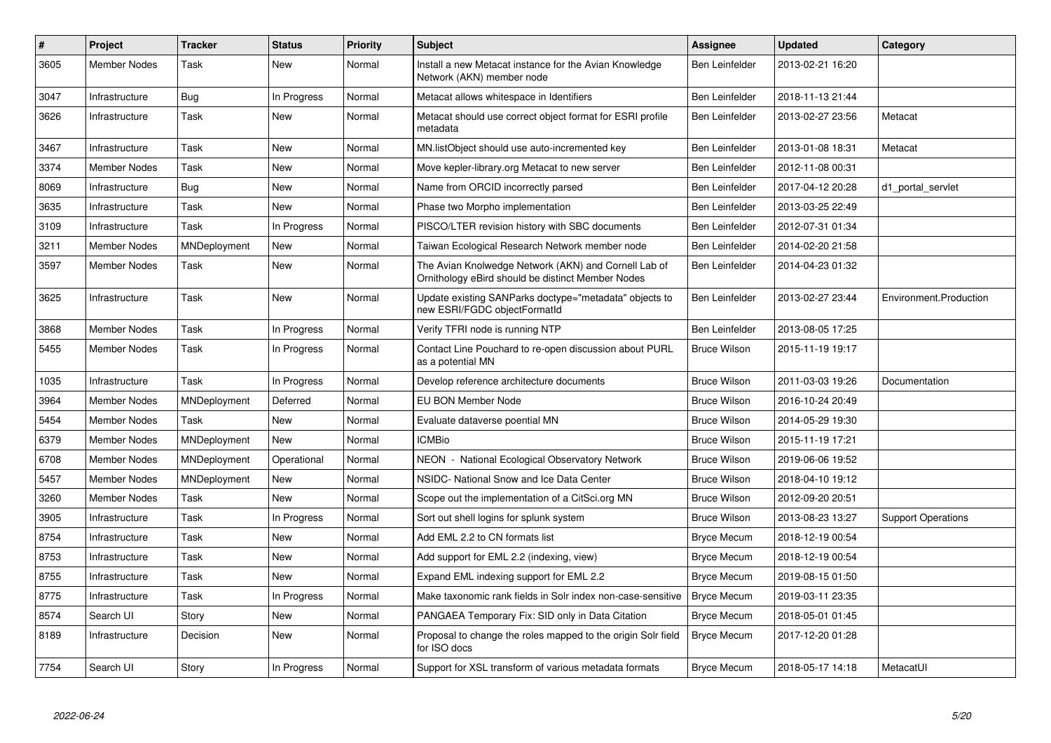| $\vert$ # | Project             | <b>Tracker</b> | <b>Status</b> | <b>Priority</b> | <b>Subject</b>                                                                                            | Assignee              | <b>Updated</b>   | Category                  |
|-----------|---------------------|----------------|---------------|-----------------|-----------------------------------------------------------------------------------------------------------|-----------------------|------------------|---------------------------|
| 3605      | Member Nodes        | Task           | New           | Normal          | Install a new Metacat instance for the Avian Knowledge<br>Network (AKN) member node                       | <b>Ben Leinfelder</b> | 2013-02-21 16:20 |                           |
| 3047      | Infrastructure      | Bug            | In Progress   | Normal          | Metacat allows whitespace in Identifiers                                                                  | <b>Ben Leinfelder</b> | 2018-11-13 21:44 |                           |
| 3626      | Infrastructure      | Task           | <b>New</b>    | Normal          | Metacat should use correct object format for ESRI profile<br>metadata                                     | Ben Leinfelder        | 2013-02-27 23:56 | Metacat                   |
| 3467      | Infrastructure      | Task           | <b>New</b>    | Normal          | MN.listObject should use auto-incremented key                                                             | <b>Ben Leinfelder</b> | 2013-01-08 18:31 | Metacat                   |
| 3374      | <b>Member Nodes</b> | Task           | <b>New</b>    | Normal          | Move kepler-library.org Metacat to new server                                                             | Ben Leinfelder        | 2012-11-08 00:31 |                           |
| 8069      | Infrastructure      | Bug            | New           | Normal          | Name from ORCID incorrectly parsed                                                                        | Ben Leinfelder        | 2017-04-12 20:28 | d1 portal servlet         |
| 3635      | Infrastructure      | Task           | <b>New</b>    | Normal          | Phase two Morpho implementation                                                                           | Ben Leinfelder        | 2013-03-25 22:49 |                           |
| 3109      | Infrastructure      | Task           | In Progress   | Normal          | PISCO/LTER revision history with SBC documents                                                            | <b>Ben Leinfelder</b> | 2012-07-31 01:34 |                           |
| 3211      | <b>Member Nodes</b> | MNDeployment   | New           | Normal          | Taiwan Ecological Research Network member node                                                            | <b>Ben Leinfelder</b> | 2014-02-20 21:58 |                           |
| 3597      | Member Nodes        | Task           | <b>New</b>    | Normal          | The Avian Knolwedge Network (AKN) and Cornell Lab of<br>Ornithology eBird should be distinct Member Nodes | Ben Leinfelder        | 2014-04-23 01:32 |                           |
| 3625      | Infrastructure      | Task           | <b>New</b>    | Normal          | Update existing SANParks doctype="metadata" objects to<br>new ESRI/FGDC objectFormatId                    | Ben Leinfelder        | 2013-02-27 23:44 | Environment.Production    |
| 3868      | <b>Member Nodes</b> | Task           | In Progress   | Normal          | Verify TFRI node is running NTP                                                                           | <b>Ben Leinfelder</b> | 2013-08-05 17:25 |                           |
| 5455      | <b>Member Nodes</b> | Task           | In Progress   | Normal          | Contact Line Pouchard to re-open discussion about PURL<br>as a potential MN                               | <b>Bruce Wilson</b>   | 2015-11-19 19:17 |                           |
| 1035      | Infrastructure      | Task           | In Progress   | Normal          | Develop reference architecture documents                                                                  | <b>Bruce Wilson</b>   | 2011-03-03 19:26 | Documentation             |
| 3964      | <b>Member Nodes</b> | MNDeployment   | Deferred      | Normal          | <b>EU BON Member Node</b>                                                                                 | <b>Bruce Wilson</b>   | 2016-10-24 20:49 |                           |
| 5454      | <b>Member Nodes</b> | Task           | <b>New</b>    | Normal          | Evaluate dataverse poential MN                                                                            | <b>Bruce Wilson</b>   | 2014-05-29 19:30 |                           |
| 6379      | Member Nodes        | MNDeployment   | New           | Normal          | <b>ICMBio</b>                                                                                             | <b>Bruce Wilson</b>   | 2015-11-19 17:21 |                           |
| 6708      | Member Nodes        | MNDeployment   | Operational   | Normal          | NEON - National Ecological Observatory Network                                                            | <b>Bruce Wilson</b>   | 2019-06-06 19:52 |                           |
| 5457      | Member Nodes        | MNDeployment   | <b>New</b>    | Normal          | NSIDC- National Snow and Ice Data Center                                                                  | <b>Bruce Wilson</b>   | 2018-04-10 19:12 |                           |
| 3260      | <b>Member Nodes</b> | Task           | New           | Normal          | Scope out the implementation of a CitSci.org MN                                                           | Bruce Wilson          | 2012-09-20 20:51 |                           |
| 3905      | Infrastructure      | Task           | In Progress   | Normal          | Sort out shell logins for splunk system                                                                   | <b>Bruce Wilson</b>   | 2013-08-23 13:27 | <b>Support Operations</b> |
| 8754      | Infrastructure      | Task           | <b>New</b>    | Normal          | Add EML 2.2 to CN formats list                                                                            | <b>Bryce Mecum</b>    | 2018-12-19 00:54 |                           |
| 8753      | Infrastructure      | Task           | <b>New</b>    | Normal          | Add support for EML 2.2 (indexing, view)                                                                  | <b>Bryce Mecum</b>    | 2018-12-19 00:54 |                           |
| 8755      | Infrastructure      | Task           | New           | Normal          | Expand EML indexing support for EML 2.2                                                                   | <b>Bryce Mecum</b>    | 2019-08-15 01:50 |                           |
| 8775      | Infrastructure      | Task           | In Progress   | Normal          | Make taxonomic rank fields in Solr index non-case-sensitive                                               | <b>Bryce Mecum</b>    | 2019-03-11 23:35 |                           |
| 8574      | Search UI           | Story          | <b>New</b>    | Normal          | PANGAEA Temporary Fix: SID only in Data Citation                                                          | <b>Bryce Mecum</b>    | 2018-05-01 01:45 |                           |
| 8189      | Infrastructure      | Decision       | New           | Normal          | Proposal to change the roles mapped to the origin Solr field<br>for ISO docs                              | <b>Bryce Mecum</b>    | 2017-12-20 01:28 |                           |
| 7754      | Search UI           | Story          | In Progress   | Normal          | Support for XSL transform of various metadata formats                                                     | <b>Bryce Mecum</b>    | 2018-05-17 14:18 | MetacatUI                 |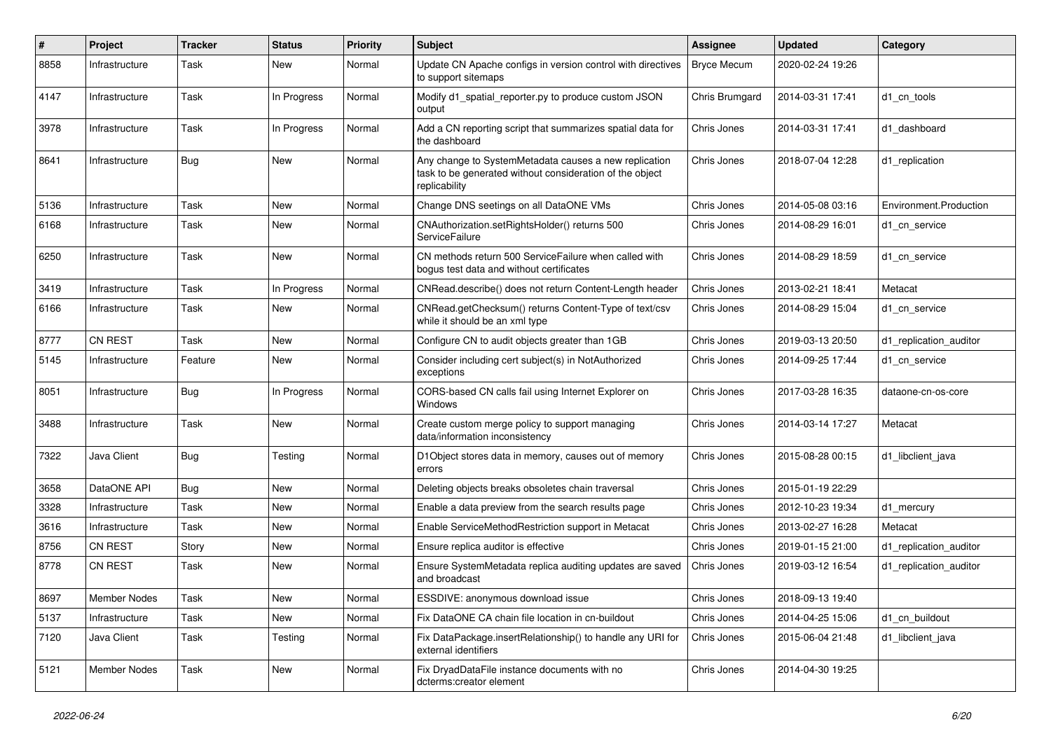| $\#$ | Project        | <b>Tracker</b> | <b>Status</b> | <b>Priority</b> | <b>Subject</b>                                                                                                                     | Assignee           | <b>Updated</b>   | Category               |
|------|----------------|----------------|---------------|-----------------|------------------------------------------------------------------------------------------------------------------------------------|--------------------|------------------|------------------------|
| 8858 | Infrastructure | Task           | New           | Normal          | Update CN Apache configs in version control with directives<br>to support sitemaps                                                 | <b>Bryce Mecum</b> | 2020-02-24 19:26 |                        |
| 4147 | Infrastructure | Task           | In Progress   | Normal          | Modify d1 spatial reporter.py to produce custom JSON<br>output                                                                     | Chris Brumgard     | 2014-03-31 17:41 | d1 cn tools            |
| 3978 | Infrastructure | Task           | In Progress   | Normal          | Add a CN reporting script that summarizes spatial data for<br>the dashboard                                                        | Chris Jones        | 2014-03-31 17:41 | d1_dashboard           |
| 8641 | Infrastructure | Bug            | <b>New</b>    | Normal          | Any change to SystemMetadata causes a new replication<br>task to be generated without consideration of the object<br>replicability | Chris Jones        | 2018-07-04 12:28 | d1_replication         |
| 5136 | Infrastructure | Task           | <b>New</b>    | Normal          | Change DNS seetings on all DataONE VMs                                                                                             | Chris Jones        | 2014-05-08 03:16 | Environment.Production |
| 6168 | Infrastructure | Task           | New           | Normal          | CNAuthorization.setRightsHolder() returns 500<br>ServiceFailure                                                                    | Chris Jones        | 2014-08-29 16:01 | d1 cn service          |
| 6250 | Infrastructure | Task           | New           | Normal          | CN methods return 500 ServiceFailure when called with<br>bogus test data and without certificates                                  | Chris Jones        | 2014-08-29 18:59 | d1 cn service          |
| 3419 | Infrastructure | Task           | In Progress   | Normal          | CNRead.describe() does not return Content-Length header                                                                            | Chris Jones        | 2013-02-21 18:41 | Metacat                |
| 6166 | Infrastructure | Task           | <b>New</b>    | Normal          | CNRead.getChecksum() returns Content-Type of text/csv<br>while it should be an xml type                                            | Chris Jones        | 2014-08-29 15:04 | d1_cn_service          |
| 8777 | CN REST        | Task           | <b>New</b>    | Normal          | Configure CN to audit objects greater than 1GB                                                                                     | Chris Jones        | 2019-03-13 20:50 | d1_replication_auditor |
| 5145 | Infrastructure | Feature        | New           | Normal          | Consider including cert subject(s) in NotAuthorized<br>exceptions                                                                  | Chris Jones        | 2014-09-25 17:44 | d1 cn service          |
| 8051 | Infrastructure | Bug            | In Progress   | Normal          | CORS-based CN calls fail using Internet Explorer on<br>Windows                                                                     | Chris Jones        | 2017-03-28 16:35 | dataone-cn-os-core     |
| 3488 | Infrastructure | Task           | New           | Normal          | Create custom merge policy to support managing<br>data/information inconsistency                                                   | Chris Jones        | 2014-03-14 17:27 | Metacat                |
| 7322 | Java Client    | Bug            | Testing       | Normal          | D1Object stores data in memory, causes out of memory<br>errors                                                                     | Chris Jones        | 2015-08-28 00:15 | d1 libclient java      |
| 3658 | DataONE API    | Bug            | <b>New</b>    | Normal          | Deleting objects breaks obsoletes chain traversal                                                                                  | Chris Jones        | 2015-01-19 22:29 |                        |
| 3328 | Infrastructure | Task           | New           | Normal          | Enable a data preview from the search results page                                                                                 | Chris Jones        | 2012-10-23 19:34 | d1 mercury             |
| 3616 | Infrastructure | Task           | New           | Normal          | Enable ServiceMethodRestriction support in Metacat                                                                                 | Chris Jones        | 2013-02-27 16:28 | Metacat                |
| 8756 | <b>CN REST</b> | Story          | New           | Normal          | Ensure replica auditor is effective                                                                                                | Chris Jones        | 2019-01-15 21:00 | d1 replication auditor |
| 8778 | <b>CN REST</b> | Task           | New           | Normal          | Ensure SystemMetadata replica auditing updates are saved<br>and broadcast                                                          | Chris Jones        | 2019-03-12 16:54 | d1 replication auditor |
| 8697 | Member Nodes   | Task           | New           | Normal          | ESSDIVE: anonymous download issue                                                                                                  | Chris Jones        | 2018-09-13 19:40 |                        |
| 5137 | Infrastructure | Task           | New           | Normal          | Fix DataONE CA chain file location in cn-buildout                                                                                  | Chris Jones        | 2014-04-25 15:06 | d1 cn buildout         |
| 7120 | Java Client    | Task           | Testing       | Normal          | Fix DataPackage.insertRelationship() to handle any URI for<br>external identifiers                                                 | Chris Jones        | 2015-06-04 21:48 | d1 libclient java      |
| 5121 | Member Nodes   | Task           | New           | Normal          | Fix DryadDataFile instance documents with no<br>dcterms:creator element                                                            | Chris Jones        | 2014-04-30 19:25 |                        |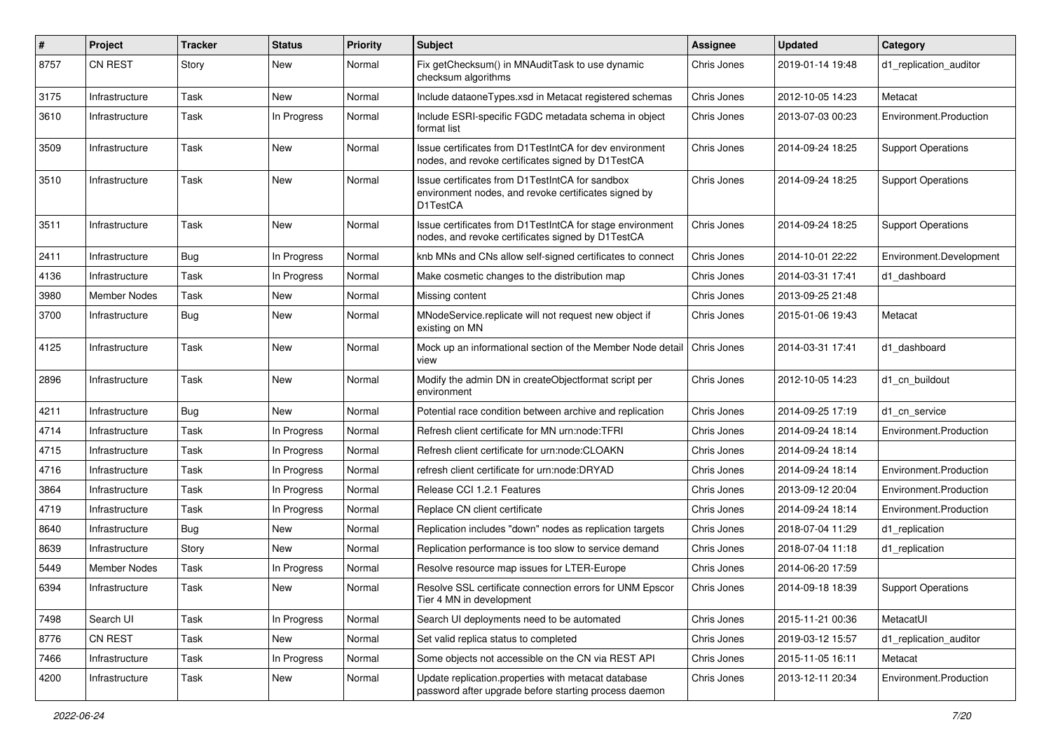| $\#$ | Project        | <b>Tracker</b> | <b>Status</b> | <b>Priority</b> | <b>Subject</b>                                                                                                      | <b>Assignee</b> | <b>Updated</b>   | Category                  |
|------|----------------|----------------|---------------|-----------------|---------------------------------------------------------------------------------------------------------------------|-----------------|------------------|---------------------------|
| 8757 | <b>CN REST</b> | Story          | New           | Normal          | Fix getChecksum() in MNAuditTask to use dynamic<br>checksum algorithms                                              | Chris Jones     | 2019-01-14 19:48 | d1 replication auditor    |
| 3175 | Infrastructure | Task           | New           | Normal          | Include dataoneTypes.xsd in Metacat registered schemas                                                              | Chris Jones     | 2012-10-05 14:23 | Metacat                   |
| 3610 | Infrastructure | Task           | In Progress   | Normal          | Include ESRI-specific FGDC metadata schema in object<br>format list                                                 | Chris Jones     | 2013-07-03 00:23 | Environment.Production    |
| 3509 | Infrastructure | Task           | New           | Normal          | Issue certificates from D1TestIntCA for dev environment<br>nodes, and revoke certificates signed by D1TestCA        | Chris Jones     | 2014-09-24 18:25 | <b>Support Operations</b> |
| 3510 | Infrastructure | Task           | New           | Normal          | Issue certificates from D1TestIntCA for sandbox<br>environment nodes, and revoke certificates signed by<br>D1TestCA | Chris Jones     | 2014-09-24 18:25 | <b>Support Operations</b> |
| 3511 | Infrastructure | Task           | New           | Normal          | Issue certificates from D1TestIntCA for stage environment<br>nodes, and revoke certificates signed by D1TestCA      | Chris Jones     | 2014-09-24 18:25 | <b>Support Operations</b> |
| 2411 | Infrastructure | <b>Bug</b>     | In Progress   | Normal          | knb MNs and CNs allow self-signed certificates to connect                                                           | Chris Jones     | 2014-10-01 22:22 | Environment.Development   |
| 4136 | Infrastructure | Task           | In Progress   | Normal          | Make cosmetic changes to the distribution map                                                                       | Chris Jones     | 2014-03-31 17:41 | d1 dashboard              |
| 3980 | Member Nodes   | Task           | New           | Normal          | Missing content                                                                                                     | Chris Jones     | 2013-09-25 21:48 |                           |
| 3700 | Infrastructure | Bug            | New           | Normal          | MNodeService.replicate will not request new object if<br>existing on MN                                             | Chris Jones     | 2015-01-06 19:43 | Metacat                   |
| 4125 | Infrastructure | Task           | <b>New</b>    | Normal          | Mock up an informational section of the Member Node detail<br>view                                                  | Chris Jones     | 2014-03-31 17:41 | d1 dashboard              |
| 2896 | Infrastructure | Task           | <b>New</b>    | Normal          | Modify the admin DN in createObjectformat script per<br>environment                                                 | Chris Jones     | 2012-10-05 14:23 | d1_cn_buildout            |
| 4211 | Infrastructure | <b>Bug</b>     | New           | Normal          | Potential race condition between archive and replication                                                            | Chris Jones     | 2014-09-25 17:19 | d1 cn service             |
| 4714 | Infrastructure | Task           | In Progress   | Normal          | Refresh client certificate for MN urn:node:TFRI                                                                     | Chris Jones     | 2014-09-24 18:14 | Environment.Production    |
| 4715 | Infrastructure | Task           | In Progress   | Normal          | Refresh client certificate for urn:node:CLOAKN                                                                      | Chris Jones     | 2014-09-24 18:14 |                           |
| 4716 | Infrastructure | Task           | In Progress   | Normal          | refresh client certificate for urn:node:DRYAD                                                                       | Chris Jones     | 2014-09-24 18:14 | Environment.Production    |
| 3864 | Infrastructure | Task           | In Progress   | Normal          | Release CCI 1.2.1 Features                                                                                          | Chris Jones     | 2013-09-12 20:04 | Environment.Production    |
| 4719 | Infrastructure | Task           | In Progress   | Normal          | Replace CN client certificate                                                                                       | Chris Jones     | 2014-09-24 18:14 | Environment.Production    |
| 8640 | Infrastructure | <b>Bug</b>     | New           | Normal          | Replication includes "down" nodes as replication targets                                                            | Chris Jones     | 2018-07-04 11:29 | d1_replication            |
| 8639 | Infrastructure | Story          | New           | Normal          | Replication performance is too slow to service demand                                                               | Chris Jones     | 2018-07-04 11:18 | d1 replication            |
| 5449 | Member Nodes   | Task           | In Progress   | Normal          | Resolve resource map issues for LTER-Europe                                                                         | Chris Jones     | 2014-06-20 17:59 |                           |
| 6394 | Infrastructure | Task           | New           | Normal          | Resolve SSL certificate connection errors for UNM Epscor<br>Tier 4 MN in development                                | Chris Jones     | 2014-09-18 18:39 | <b>Support Operations</b> |
| 7498 | Search UI      | Task           | In Progress   | Normal          | Search UI deployments need to be automated                                                                          | Chris Jones     | 2015-11-21 00:36 | MetacatUI                 |
| 8776 | CN REST        | Task           | New           | Normal          | Set valid replica status to completed                                                                               | Chris Jones     | 2019-03-12 15:57 | d1_replication_auditor    |
| 7466 | Infrastructure | Task           | In Progress   | Normal          | Some objects not accessible on the CN via REST API                                                                  | Chris Jones     | 2015-11-05 16:11 | Metacat                   |
| 4200 | Infrastructure | Task           | New           | Normal          | Update replication.properties with metacat database<br>password after upgrade before starting process daemon        | Chris Jones     | 2013-12-11 20:34 | Environment.Production    |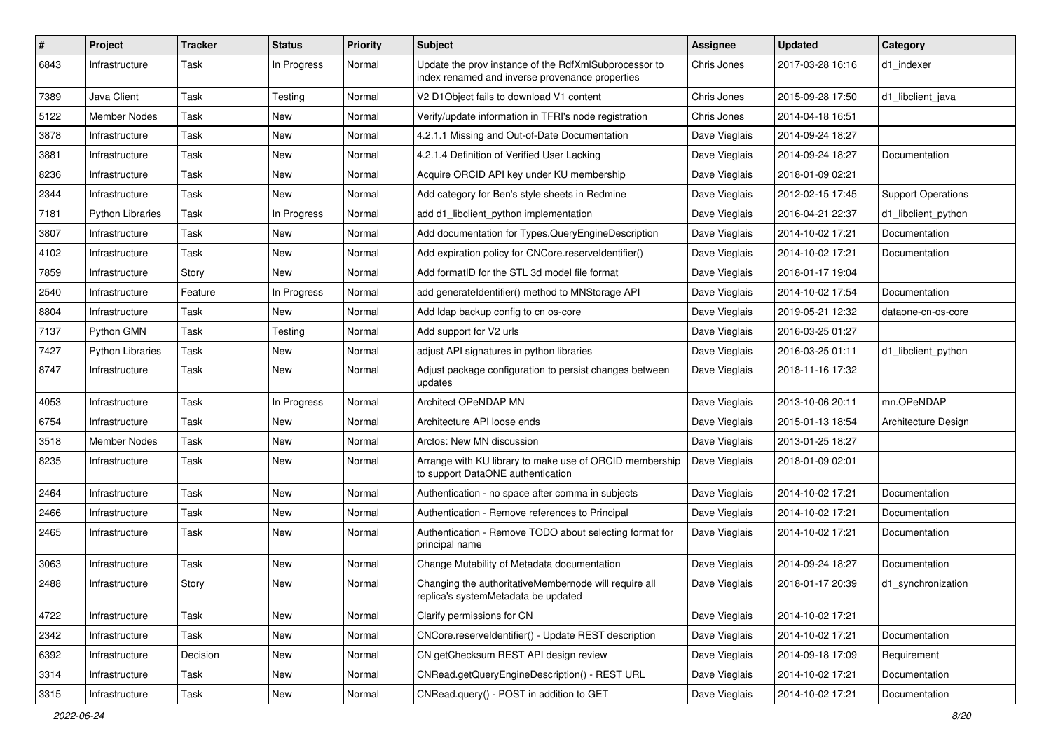| #    | Project                 | <b>Tracker</b> | <b>Status</b> | <b>Priority</b> | <b>Subject</b>                                                                                           | Assignee      | <b>Updated</b>   | Category                  |
|------|-------------------------|----------------|---------------|-----------------|----------------------------------------------------------------------------------------------------------|---------------|------------------|---------------------------|
| 6843 | Infrastructure          | Task           | In Progress   | Normal          | Update the prov instance of the RdfXmlSubprocessor to<br>index renamed and inverse provenance properties | Chris Jones   | 2017-03-28 16:16 | d1_indexer                |
| 7389 | Java Client             | Task           | Testing       | Normal          | V2 D1Object fails to download V1 content                                                                 | Chris Jones   | 2015-09-28 17:50 | d1 libclient java         |
| 5122 | Member Nodes            | Task           | New           | Normal          | Verify/update information in TFRI's node registration                                                    | Chris Jones   | 2014-04-18 16:51 |                           |
| 3878 | Infrastructure          | Task           | New           | Normal          | 4.2.1.1 Missing and Out-of-Date Documentation                                                            | Dave Vieglais | 2014-09-24 18:27 |                           |
| 3881 | Infrastructure          | Task           | New           | Normal          | 4.2.1.4 Definition of Verified User Lacking                                                              | Dave Vieglais | 2014-09-24 18:27 | Documentation             |
| 8236 | Infrastructure          | Task           | New           | Normal          | Acquire ORCID API key under KU membership                                                                | Dave Vieglais | 2018-01-09 02:21 |                           |
| 2344 | Infrastructure          | Task           | New           | Normal          | Add category for Ben's style sheets in Redmine                                                           | Dave Vieglais | 2012-02-15 17:45 | <b>Support Operations</b> |
| 7181 | <b>Python Libraries</b> | Task           | In Progress   | Normal          | add d1_libclient_python implementation                                                                   | Dave Vieglais | 2016-04-21 22:37 | d1 libclient python       |
| 3807 | Infrastructure          | Task           | New           | Normal          | Add documentation for Types.QueryEngineDescription                                                       | Dave Vieglais | 2014-10-02 17:21 | Documentation             |
| 4102 | Infrastructure          | Task           | New           | Normal          | Add expiration policy for CNCore.reserveldentifier()                                                     | Dave Vieglais | 2014-10-02 17:21 | Documentation             |
| 7859 | Infrastructure          | Story          | New           | Normal          | Add formatID for the STL 3d model file format                                                            | Dave Vieglais | 2018-01-17 19:04 |                           |
| 2540 | Infrastructure          | Feature        | In Progress   | Normal          | add generate dentifier() method to MNStorage API                                                         | Dave Vieglais | 2014-10-02 17:54 | Documentation             |
| 8804 | Infrastructure          | Task           | New           | Normal          | Add Idap backup config to cn os-core                                                                     | Dave Vieglais | 2019-05-21 12:32 | dataone-cn-os-core        |
| 7137 | Python GMN              | Task           | Testing       | Normal          | Add support for V2 urls                                                                                  | Dave Vieglais | 2016-03-25 01:27 |                           |
| 7427 | <b>Python Libraries</b> | Task           | New           | Normal          | adjust API signatures in python libraries                                                                | Dave Vieglais | 2016-03-25 01:11 | d1 libclient python       |
| 8747 | Infrastructure          | Task           | New           | Normal          | Adjust package configuration to persist changes between<br>updates                                       | Dave Vieglais | 2018-11-16 17:32 |                           |
| 4053 | Infrastructure          | Task           | In Progress   | Normal          | Architect OPeNDAP MN                                                                                     | Dave Vieglais | 2013-10-06 20:11 | mn.OPeNDAP                |
| 6754 | Infrastructure          | Task           | New           | Normal          | Architecture API loose ends                                                                              | Dave Vieglais | 2015-01-13 18:54 | Architecture Design       |
| 3518 | Member Nodes            | Task           | New           | Normal          | Arctos: New MN discussion                                                                                | Dave Vieglais | 2013-01-25 18:27 |                           |
| 8235 | Infrastructure          | Task           | New           | Normal          | Arrange with KU library to make use of ORCID membership<br>to support DataONE authentication             | Dave Vieglais | 2018-01-09 02:01 |                           |
| 2464 | Infrastructure          | Task           | New           | Normal          | Authentication - no space after comma in subjects                                                        | Dave Vieglais | 2014-10-02 17:21 | Documentation             |
| 2466 | Infrastructure          | Task           | New           | Normal          | Authentication - Remove references to Principal                                                          | Dave Vieglais | 2014-10-02 17:21 | Documentation             |
| 2465 | Infrastructure          | Task           | New           | Normal          | Authentication - Remove TODO about selecting format for<br>principal name                                | Dave Vieglais | 2014-10-02 17:21 | Documentation             |
| 3063 | Infrastructure          | Task           | <b>New</b>    | Normal          | Change Mutability of Metadata documentation                                                              | Dave Vieglais | 2014-09-24 18:27 | Documentation             |
| 2488 | Infrastructure          | Story          | New           | Normal          | Changing the authoritativeMembernode will require all<br>replica's systemMetadata be updated             | Dave Vieglais | 2018-01-17 20:39 | d1 synchronization        |
| 4722 | Infrastructure          | Task           | New           | Normal          | Clarify permissions for CN                                                                               | Dave Vieglais | 2014-10-02 17:21 |                           |
| 2342 | Infrastructure          | Task           | New           | Normal          | CNCore.reserveldentifier() - Update REST description                                                     | Dave Vieglais | 2014-10-02 17:21 | Documentation             |
| 6392 | Infrastructure          | Decision       | New           | Normal          | CN getChecksum REST API design review                                                                    | Dave Vieglais | 2014-09-18 17:09 | Requirement               |
| 3314 | Infrastructure          | Task           | New           | Normal          | CNRead.getQueryEngineDescription() - REST URL                                                            | Dave Vieglais | 2014-10-02 17:21 | Documentation             |
| 3315 | Infrastructure          | Task           | New           | Normal          | CNRead.query() - POST in addition to GET                                                                 | Dave Vieglais | 2014-10-02 17:21 | Documentation             |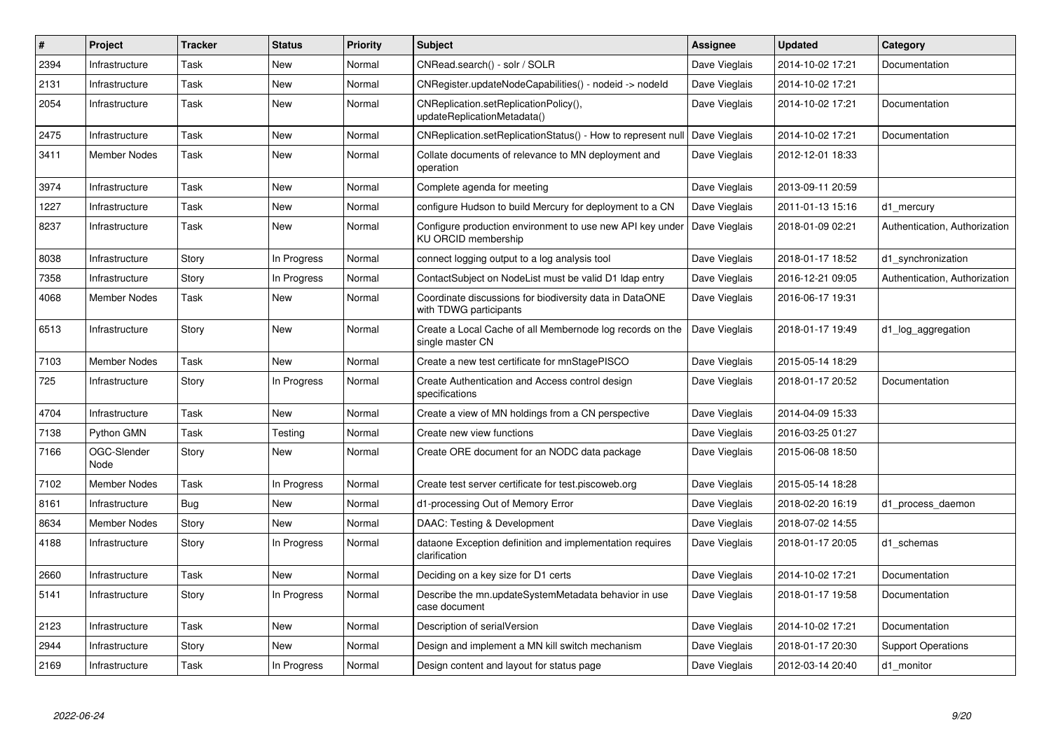| $\#$ | Project             | <b>Tracker</b> | <b>Status</b> | <b>Priority</b> | <b>Subject</b>                                                                    | Assignee      | <b>Updated</b>   | Category                      |
|------|---------------------|----------------|---------------|-----------------|-----------------------------------------------------------------------------------|---------------|------------------|-------------------------------|
| 2394 | Infrastructure      | Task           | New           | Normal          | CNRead.search() - solr / SOLR                                                     | Dave Vieglais | 2014-10-02 17:21 | Documentation                 |
| 2131 | Infrastructure      | Task           | <b>New</b>    | Normal          | CNRegister.updateNodeCapabilities() - nodeid -> nodeld                            | Dave Vieglais | 2014-10-02 17:21 |                               |
| 2054 | Infrastructure      | Task           | New           | Normal          | CNReplication.setReplicationPolicy(),<br>updateReplicationMetadata()              | Dave Vieglais | 2014-10-02 17:21 | Documentation                 |
| 2475 | Infrastructure      | Task           | <b>New</b>    | Normal          | CNReplication.setReplicationStatus() - How to represent null                      | Dave Vieglais | 2014-10-02 17:21 | Documentation                 |
| 3411 | Member Nodes        | Task           | New           | Normal          | Collate documents of relevance to MN deployment and<br>operation                  | Dave Vieglais | 2012-12-01 18:33 |                               |
| 3974 | Infrastructure      | Task           | <b>New</b>    | Normal          | Complete agenda for meeting                                                       | Dave Vieglais | 2013-09-11 20:59 |                               |
| 1227 | Infrastructure      | Task           | New           | Normal          | configure Hudson to build Mercury for deployment to a CN                          | Dave Vieglais | 2011-01-13 15:16 | d1 mercury                    |
| 8237 | Infrastructure      | Task           | <b>New</b>    | Normal          | Configure production environment to use new API key under<br>KU ORCID membership  | Dave Vieglais | 2018-01-09 02:21 | Authentication, Authorization |
| 8038 | Infrastructure      | Story          | In Progress   | Normal          | connect logging output to a log analysis tool                                     | Dave Vieglais | 2018-01-17 18:52 | d1 synchronization            |
| 7358 | Infrastructure      | Story          | In Progress   | Normal          | ContactSubject on NodeList must be valid D1 Idap entry                            | Dave Vieglais | 2016-12-21 09:05 | Authentication, Authorization |
| 4068 | Member Nodes        | Task           | New           | Normal          | Coordinate discussions for biodiversity data in DataONE<br>with TDWG participants | Dave Vieglais | 2016-06-17 19:31 |                               |
| 6513 | Infrastructure      | Story          | <b>New</b>    | Normal          | Create a Local Cache of all Membernode log records on the<br>single master CN     | Dave Vieglais | 2018-01-17 19:49 | d1_log_aggregation            |
| 7103 | Member Nodes        | Task           | New           | Normal          | Create a new test certificate for mnStagePISCO                                    | Dave Vieglais | 2015-05-14 18:29 |                               |
| 725  | Infrastructure      | Story          | In Progress   | Normal          | Create Authentication and Access control design<br>specifications                 | Dave Vieglais | 2018-01-17 20:52 | Documentation                 |
| 4704 | Infrastructure      | Task           | <b>New</b>    | Normal          | Create a view of MN holdings from a CN perspective                                | Dave Vieglais | 2014-04-09 15:33 |                               |
| 7138 | Python GMN          | Task           | Testing       | Normal          | Create new view functions                                                         | Dave Vieglais | 2016-03-25 01:27 |                               |
| 7166 | OGC-Slender<br>Node | Story          | New           | Normal          | Create ORE document for an NODC data package                                      | Dave Vieglais | 2015-06-08 18:50 |                               |
| 7102 | <b>Member Nodes</b> | Task           | In Progress   | Normal          | Create test server certificate for test.piscoweb.org                              | Dave Vieglais | 2015-05-14 18:28 |                               |
| 8161 | Infrastructure      | Bug            | New           | Normal          | d1-processing Out of Memory Error                                                 | Dave Vieglais | 2018-02-20 16:19 | d1 process daemon             |
| 8634 | <b>Member Nodes</b> | Story          | New           | Normal          | DAAC: Testing & Development                                                       | Dave Vieglais | 2018-07-02 14:55 |                               |
| 4188 | Infrastructure      | Story          | In Progress   | Normal          | dataone Exception definition and implementation requires<br>clarification         | Dave Vieglais | 2018-01-17 20:05 | d1 schemas                    |
| 2660 | Infrastructure      | Task           | <b>New</b>    | Normal          | Deciding on a key size for D1 certs                                               | Dave Vieglais | 2014-10-02 17:21 | Documentation                 |
| 5141 | Infrastructure      | Story          | In Progress   | Normal          | Describe the mn.updateSystemMetadata behavior in use<br>case document             | Dave Vieglais | 2018-01-17 19:58 | Documentation                 |
| 2123 | Infrastructure      | Task           | New           | Normal          | Description of serialVersion                                                      | Dave Vieglais | 2014-10-02 17:21 | Documentation                 |
| 2944 | Infrastructure      | Story          | New           | Normal          | Design and implement a MN kill switch mechanism                                   | Dave Vieglais | 2018-01-17 20:30 | <b>Support Operations</b>     |
| 2169 | Infrastructure      | Task           | In Progress   | Normal          | Design content and layout for status page                                         | Dave Vieglais | 2012-03-14 20:40 | d1 monitor                    |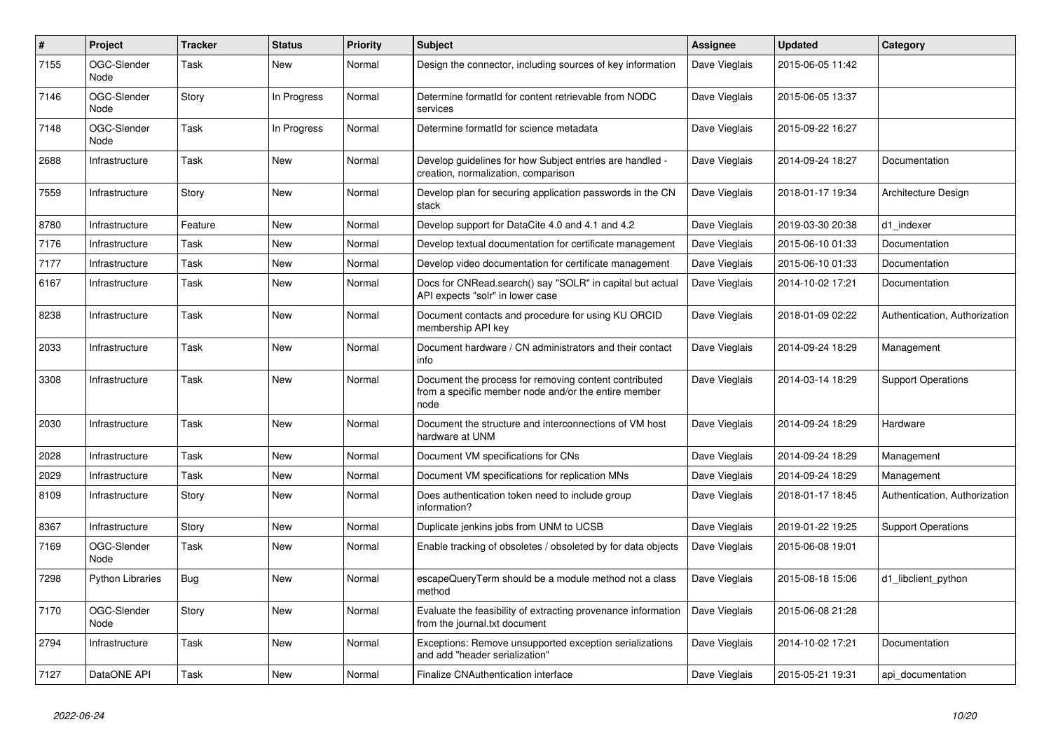| $\#$ | Project             | <b>Tracker</b> | <b>Status</b> | <b>Priority</b> | Subject                                                                                                               | Assignee      | <b>Updated</b>   | Category                      |
|------|---------------------|----------------|---------------|-----------------|-----------------------------------------------------------------------------------------------------------------------|---------------|------------------|-------------------------------|
| 7155 | OGC-Slender<br>Node | Task           | New           | Normal          | Design the connector, including sources of key information                                                            | Dave Vieglais | 2015-06-05 11:42 |                               |
| 7146 | OGC-Slender<br>Node | Story          | In Progress   | Normal          | Determine formatId for content retrievable from NODC<br>services                                                      | Dave Vieglais | 2015-06-05 13:37 |                               |
| 7148 | OGC-Slender<br>Node | Task           | In Progress   | Normal          | Determine formatId for science metadata                                                                               | Dave Vieglais | 2015-09-22 16:27 |                               |
| 2688 | Infrastructure      | Task           | New           | Normal          | Develop guidelines for how Subject entries are handled -<br>creation, normalization, comparison                       | Dave Vieglais | 2014-09-24 18:27 | Documentation                 |
| 7559 | Infrastructure      | Story          | New           | Normal          | Develop plan for securing application passwords in the CN<br>stack                                                    | Dave Vieglais | 2018-01-17 19:34 | Architecture Design           |
| 8780 | Infrastructure      | Feature        | New           | Normal          | Develop support for DataCite 4.0 and 4.1 and 4.2                                                                      | Dave Vieglais | 2019-03-30 20:38 | d1_indexer                    |
| 7176 | Infrastructure      | Task           | New           | Normal          | Develop textual documentation for certificate management                                                              | Dave Vieglais | 2015-06-10 01:33 | Documentation                 |
| 7177 | Infrastructure      | Task           | New           | Normal          | Develop video documentation for certificate management                                                                | Dave Vieglais | 2015-06-10 01:33 | Documentation                 |
| 6167 | Infrastructure      | Task           | <b>New</b>    | Normal          | Docs for CNRead.search() say "SOLR" in capital but actual<br>API expects "solr" in lower case                         | Dave Vieglais | 2014-10-02 17:21 | Documentation                 |
| 8238 | Infrastructure      | Task           | New           | Normal          | Document contacts and procedure for using KU ORCID<br>membership API key                                              | Dave Vieglais | 2018-01-09 02:22 | Authentication, Authorization |
| 2033 | Infrastructure      | Task           | <b>New</b>    | Normal          | Document hardware / CN administrators and their contact<br>info                                                       | Dave Vieglais | 2014-09-24 18:29 | Management                    |
| 3308 | Infrastructure      | Task           | <b>New</b>    | Normal          | Document the process for removing content contributed<br>from a specific member node and/or the entire member<br>node | Dave Vieglais | 2014-03-14 18:29 | <b>Support Operations</b>     |
| 2030 | Infrastructure      | Task           | New           | Normal          | Document the structure and interconnections of VM host<br>hardware at UNM                                             | Dave Vieglais | 2014-09-24 18:29 | Hardware                      |
| 2028 | Infrastructure      | Task           | New           | Normal          | Document VM specifications for CNs                                                                                    | Dave Vieglais | 2014-09-24 18:29 | Management                    |
| 2029 | Infrastructure      | Task           | New           | Normal          | Document VM specifications for replication MNs                                                                        | Dave Vieglais | 2014-09-24 18:29 | Management                    |
| 8109 | Infrastructure      | Story          | New           | Normal          | Does authentication token need to include group<br>information?                                                       | Dave Vieglais | 2018-01-17 18:45 | Authentication, Authorization |
| 8367 | Infrastructure      | Story          | <b>New</b>    | Normal          | Duplicate jenkins jobs from UNM to UCSB                                                                               | Dave Vieglais | 2019-01-22 19:25 | <b>Support Operations</b>     |
| 7169 | OGC-Slender<br>Node | Task           | <b>New</b>    | Normal          | Enable tracking of obsoletes / obsoleted by for data objects                                                          | Dave Vieglais | 2015-06-08 19:01 |                               |
| 7298 | Python Libraries    | Bug            | <b>New</b>    | Normal          | escapeQueryTerm should be a module method not a class<br>method                                                       | Dave Vieglais | 2015-08-18 15:06 | d1_libclient_python           |
| 7170 | OGC-Slender<br>Node | Story          | New           | Normal          | Evaluate the feasibility of extracting provenance information<br>from the journal.txt document                        | Dave Vieglais | 2015-06-08 21:28 |                               |
| 2794 | Infrastructure      | Task           | New           | Normal          | Exceptions: Remove unsupported exception serializations<br>and add "header serialization"                             | Dave Vieglais | 2014-10-02 17:21 | Documentation                 |
| 7127 | DataONE API         | Task           | <b>New</b>    | Normal          | Finalize CNAuthentication interface                                                                                   | Dave Vieglais | 2015-05-21 19:31 | api documentation             |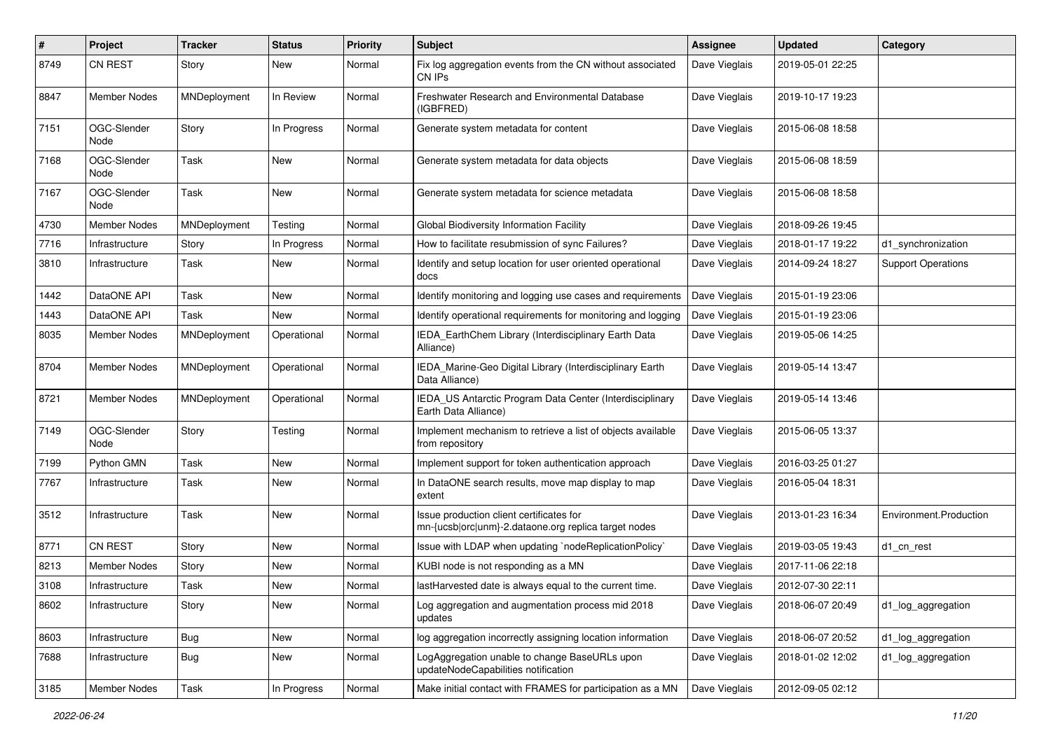| $\vert$ # | Project             | <b>Tracker</b> | <b>Status</b> | <b>Priority</b> | Subject                                                                                          | <b>Assignee</b> | <b>Updated</b>   | Category                  |
|-----------|---------------------|----------------|---------------|-----------------|--------------------------------------------------------------------------------------------------|-----------------|------------------|---------------------------|
| 8749      | <b>CN REST</b>      | Story          | New           | Normal          | Fix log aggregation events from the CN without associated<br>CN IPs                              | Dave Vieglais   | 2019-05-01 22:25 |                           |
| 8847      | <b>Member Nodes</b> | MNDeployment   | In Review     | Normal          | <b>Freshwater Research and Environmental Database</b><br>(IGBFRED)                               | Dave Vieglais   | 2019-10-17 19:23 |                           |
| 7151      | OGC-Slender<br>Node | Story          | In Progress   | Normal          | Generate system metadata for content                                                             | Dave Vieglais   | 2015-06-08 18:58 |                           |
| 7168      | OGC-Slender<br>Node | Task           | New           | Normal          | Generate system metadata for data objects                                                        | Dave Vieglais   | 2015-06-08 18:59 |                           |
| 7167      | OGC-Slender<br>Node | Task           | <b>New</b>    | Normal          | Generate system metadata for science metadata                                                    | Dave Vieglais   | 2015-06-08 18:58 |                           |
| 4730      | <b>Member Nodes</b> | MNDeployment   | Testing       | Normal          | Global Biodiversity Information Facility                                                         | Dave Vieglais   | 2018-09-26 19:45 |                           |
| 7716      | Infrastructure      | Story          | In Progress   | Normal          | How to facilitate resubmission of sync Failures?                                                 | Dave Vieglais   | 2018-01-17 19:22 | d1_synchronization        |
| 3810      | Infrastructure      | Task           | New           | Normal          | Identify and setup location for user oriented operational<br>docs                                | Dave Vieglais   | 2014-09-24 18:27 | <b>Support Operations</b> |
| 1442      | DataONE API         | Task           | New           | Normal          | Identify monitoring and logging use cases and requirements                                       | Dave Vieglais   | 2015-01-19 23:06 |                           |
| 1443      | DataONE API         | Task           | New           | Normal          | Identify operational requirements for monitoring and logging                                     | Dave Vieglais   | 2015-01-19 23:06 |                           |
| 8035      | Member Nodes        | MNDeployment   | Operational   | Normal          | IEDA_EarthChem Library (Interdisciplinary Earth Data<br>Alliance)                                | Dave Vieglais   | 2019-05-06 14:25 |                           |
| 8704      | Member Nodes        | MNDeployment   | Operational   | Normal          | IEDA_Marine-Geo Digital Library (Interdisciplinary Earth<br>Data Alliance)                       | Dave Vieglais   | 2019-05-14 13:47 |                           |
| 8721      | Member Nodes        | MNDeployment   | Operational   | Normal          | IEDA_US Antarctic Program Data Center (Interdisciplinary<br>Earth Data Alliance)                 | Dave Vieglais   | 2019-05-14 13:46 |                           |
| 7149      | OGC-Slender<br>Node | Story          | Testing       | Normal          | Implement mechanism to retrieve a list of objects available<br>from repository                   | Dave Vieglais   | 2015-06-05 13:37 |                           |
| 7199      | Python GMN          | Task           | New           | Normal          | Implement support for token authentication approach                                              | Dave Vieglais   | 2016-03-25 01:27 |                           |
| 7767      | Infrastructure      | Task           | New           | Normal          | In DataONE search results, move map display to map<br>extent                                     | Dave Vieglais   | 2016-05-04 18:31 |                           |
| 3512      | Infrastructure      | Task           | New           | Normal          | Issue production client certificates for<br>mn-{ucsb orc unm}-2.dataone.org replica target nodes | Dave Vieglais   | 2013-01-23 16:34 | Environment.Production    |
| 8771      | <b>CN REST</b>      | Story          | New           | Normal          | Issue with LDAP when updating `nodeReplicationPolicy`                                            | Dave Vieglais   | 2019-03-05 19:43 | d1 cn rest                |
| 8213      | <b>Member Nodes</b> | Story          | New           | Normal          | KUBI node is not responding as a MN                                                              | Dave Vieglais   | 2017-11-06 22:18 |                           |
| 3108      | Infrastructure      | Task           | New           | Normal          | lastHarvested date is always equal to the current time.                                          | Dave Vieglais   | 2012-07-30 22:11 |                           |
| 8602      | Infrastructure      | Story          | New           | Normal          | Log aggregation and augmentation process mid 2018<br>updates                                     | Dave Vieglais   | 2018-06-07 20:49 | d1_log_aggregation        |
| 8603      | Infrastructure      | <b>Bug</b>     | New           | Normal          | log aggregation incorrectly assigning location information                                       | Dave Vieglais   | 2018-06-07 20:52 | d1_log_aggregation        |
| 7688      | Infrastructure      | <b>Bug</b>     | New           | Normal          | LogAggregation unable to change BaseURLs upon<br>updateNodeCapabilities notification             | Dave Vieglais   | 2018-01-02 12:02 | d1_log_aggregation        |
| 3185      | <b>Member Nodes</b> | Task           | In Progress   | Normal          | Make initial contact with FRAMES for participation as a MN                                       | Dave Vieglais   | 2012-09-05 02:12 |                           |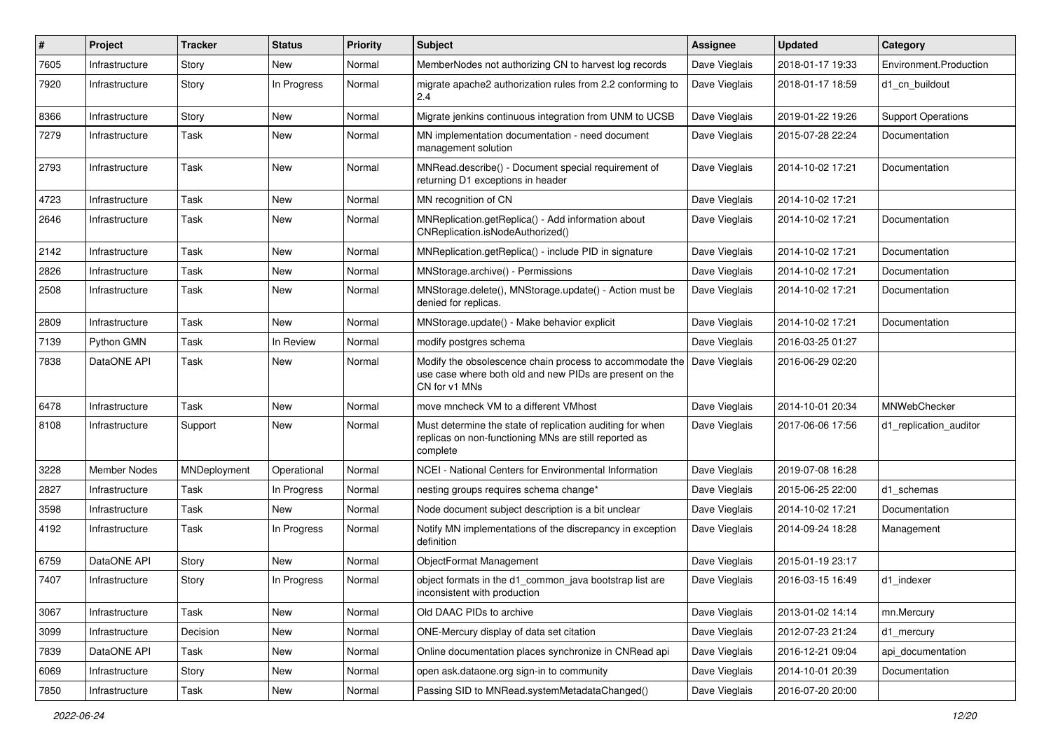| ∦    | Project             | <b>Tracker</b> | <b>Status</b> | <b>Priority</b> | Subject                                                                                                                              | <b>Assignee</b> | <b>Updated</b>   | Category                  |
|------|---------------------|----------------|---------------|-----------------|--------------------------------------------------------------------------------------------------------------------------------------|-----------------|------------------|---------------------------|
| 7605 | Infrastructure      | Story          | New           | Normal          | MemberNodes not authorizing CN to harvest log records                                                                                | Dave Vieglais   | 2018-01-17 19:33 | Environment.Production    |
| 7920 | Infrastructure      | Story          | In Progress   | Normal          | migrate apache2 authorization rules from 2.2 conforming to<br>2.4                                                                    | Dave Vieglais   | 2018-01-17 18:59 | d1 cn buildout            |
| 8366 | Infrastructure      | Story          | New           | Normal          | Migrate jenkins continuous integration from UNM to UCSB                                                                              | Dave Vieglais   | 2019-01-22 19:26 | <b>Support Operations</b> |
| 7279 | Infrastructure      | Task           | New           | Normal          | MN implementation documentation - need document<br>management solution                                                               | Dave Vieglais   | 2015-07-28 22:24 | Documentation             |
| 2793 | Infrastructure      | Task           | New           | Normal          | MNRead.describe() - Document special requirement of<br>returning D1 exceptions in header                                             | Dave Vieglais   | 2014-10-02 17:21 | Documentation             |
| 4723 | Infrastructure      | Task           | New           | Normal          | MN recognition of CN                                                                                                                 | Dave Vieglais   | 2014-10-02 17:21 |                           |
| 2646 | Infrastructure      | Task           | New           | Normal          | MNReplication.getReplica() - Add information about<br>CNReplication.isNodeAuthorized()                                               | Dave Vieglais   | 2014-10-02 17:21 | Documentation             |
| 2142 | Infrastructure      | Task           | New           | Normal          | MNReplication.getReplica() - include PID in signature                                                                                | Dave Vieglais   | 2014-10-02 17:21 | Documentation             |
| 2826 | Infrastructure      | Task           | New           | Normal          | MNStorage.archive() - Permissions                                                                                                    | Dave Vieglais   | 2014-10-02 17:21 | Documentation             |
| 2508 | Infrastructure      | Task           | New           | Normal          | MNStorage.delete(), MNStorage.update() - Action must be<br>denied for replicas.                                                      | Dave Vieglais   | 2014-10-02 17:21 | Documentation             |
| 2809 | Infrastructure      | Task           | <b>New</b>    | Normal          | MNStorage.update() - Make behavior explicit                                                                                          | Dave Vieglais   | 2014-10-02 17:21 | Documentation             |
| 7139 | Python GMN          | Task           | In Review     | Normal          | modify postgres schema                                                                                                               | Dave Vieglais   | 2016-03-25 01:27 |                           |
| 7838 | DataONE API         | Task           | New           | Normal          | Modify the obsolescence chain process to accommodate the<br>use case where both old and new PIDs are present on the<br>CN for v1 MNs | Dave Vieglais   | 2016-06-29 02:20 |                           |
| 6478 | Infrastructure      | Task           | New           | Normal          | move mncheck VM to a different VMhost                                                                                                | Dave Vieglais   | 2014-10-01 20:34 | MNWebChecker              |
| 8108 | Infrastructure      | Support        | <b>New</b>    | Normal          | Must determine the state of replication auditing for when<br>replicas on non-functioning MNs are still reported as<br>complete       | Dave Vieglais   | 2017-06-06 17:56 | d1_replication_auditor    |
| 3228 | <b>Member Nodes</b> | MNDeployment   | Operational   | Normal          | NCEI - National Centers for Environmental Information                                                                                | Dave Vieglais   | 2019-07-08 16:28 |                           |
| 2827 | Infrastructure      | Task           | In Progress   | Normal          | nesting groups requires schema change*                                                                                               | Dave Vieglais   | 2015-06-25 22:00 | d1 schemas                |
| 3598 | Infrastructure      | Task           | New           | Normal          | Node document subject description is a bit unclear                                                                                   | Dave Vieglais   | 2014-10-02 17:21 | Documentation             |
| 4192 | Infrastructure      | Task           | In Progress   | Normal          | Notify MN implementations of the discrepancy in exception<br>definition                                                              | Dave Vieglais   | 2014-09-24 18:28 | Management                |
| 6759 | DataONE API         | Story          | New           | Normal          | ObjectFormat Management                                                                                                              | Dave Vieglais   | 2015-01-19 23:17 |                           |
| 7407 | Infrastructure      | Story          | In Progress   | Normal          | object formats in the d1_common_java bootstrap list are<br>inconsistent with production                                              | Dave Vieglais   | 2016-03-15 16:49 | d1 indexer                |
| 3067 | Infrastructure      | Task           | New           | Normal          | Old DAAC PIDs to archive                                                                                                             | Dave Vieglais   | 2013-01-02 14:14 | mn.Mercury                |
| 3099 | Infrastructure      | Decision       | New           | Normal          | ONE-Mercury display of data set citation                                                                                             | Dave Vieglais   | 2012-07-23 21:24 | d1_mercury                |
| 7839 | DataONE API         | Task           | New           | Normal          | Online documentation places synchronize in CNRead api                                                                                | Dave Vieglais   | 2016-12-21 09:04 | api_documentation         |
| 6069 | Infrastructure      | Story          | New           | Normal          | open ask.dataone.org sign-in to community                                                                                            | Dave Vieglais   | 2014-10-01 20:39 | Documentation             |
| 7850 | Infrastructure      | Task           | New           | Normal          | Passing SID to MNRead.systemMetadataChanged()                                                                                        | Dave Vieglais   | 2016-07-20 20:00 |                           |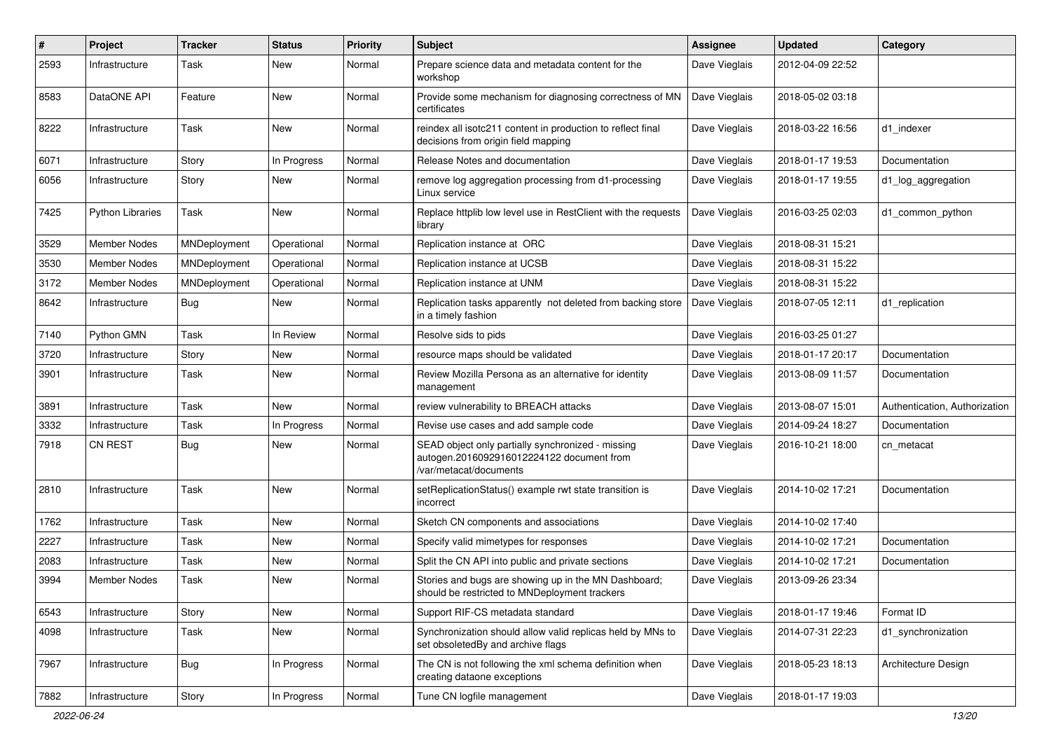| $\#$ | Project                 | <b>Tracker</b> | <b>Status</b> | <b>Priority</b> | Subject                                                                                                                  | <b>Assignee</b> | <b>Updated</b>   | Category                      |
|------|-------------------------|----------------|---------------|-----------------|--------------------------------------------------------------------------------------------------------------------------|-----------------|------------------|-------------------------------|
| 2593 | Infrastructure          | Task           | New           | Normal          | Prepare science data and metadata content for the<br>workshop                                                            | Dave Vieglais   | 2012-04-09 22:52 |                               |
| 8583 | DataONE API             | Feature        | New           | Normal          | Provide some mechanism for diagnosing correctness of MN<br>certificates                                                  | Dave Vieglais   | 2018-05-02 03:18 |                               |
| 8222 | Infrastructure          | Task           | New           | Normal          | reindex all isotc211 content in production to reflect final<br>decisions from origin field mapping                       | Dave Vieglais   | 2018-03-22 16:56 | d1 indexer                    |
| 6071 | Infrastructure          | Story          | In Progress   | Normal          | Release Notes and documentation                                                                                          | Dave Vieglais   | 2018-01-17 19:53 | Documentation                 |
| 6056 | Infrastructure          | Story          | New           | Normal          | remove log aggregation processing from d1-processing<br>Linux service                                                    | Dave Vieglais   | 2018-01-17 19:55 | d1_log_aggregation            |
| 7425 | <b>Python Libraries</b> | Task           | New           | Normal          | Replace httplib low level use in RestClient with the requests<br>library                                                 | Dave Vieglais   | 2016-03-25 02:03 | d1 common python              |
| 3529 | Member Nodes            | MNDeployment   | Operational   | Normal          | Replication instance at ORC                                                                                              | Dave Vieglais   | 2018-08-31 15:21 |                               |
| 3530 | <b>Member Nodes</b>     | MNDeployment   | Operational   | Normal          | Replication instance at UCSB                                                                                             | Dave Vieglais   | 2018-08-31 15:22 |                               |
| 3172 | Member Nodes            | MNDeployment   | Operational   | Normal          | Replication instance at UNM                                                                                              | Dave Vieglais   | 2018-08-31 15:22 |                               |
| 8642 | Infrastructure          | <b>Bug</b>     | New           | Normal          | Replication tasks apparently not deleted from backing store<br>in a timely fashion                                       | Dave Vieglais   | 2018-07-05 12:11 | d1 replication                |
| 7140 | Python GMN              | Task           | In Review     | Normal          | Resolve sids to pids                                                                                                     | Dave Vieglais   | 2016-03-25 01:27 |                               |
| 3720 | Infrastructure          | Story          | New           | Normal          | resource maps should be validated                                                                                        | Dave Vieglais   | 2018-01-17 20:17 | Documentation                 |
| 3901 | Infrastructure          | Task           | New           | Normal          | Review Mozilla Persona as an alternative for identity<br>management                                                      | Dave Vieglais   | 2013-08-09 11:57 | Documentation                 |
| 3891 | Infrastructure          | Task           | <b>New</b>    | Normal          | review vulnerability to BREACH attacks                                                                                   | Dave Vieglais   | 2013-08-07 15:01 | Authentication, Authorization |
| 3332 | Infrastructure          | Task           | In Progress   | Normal          | Revise use cases and add sample code                                                                                     | Dave Vieglais   | 2014-09-24 18:27 | Documentation                 |
| 7918 | <b>CN REST</b>          | Bug            | New           | Normal          | SEAD object only partially synchronized - missing<br>autogen.2016092916012224122 document from<br>/var/metacat/documents | Dave Vieglais   | 2016-10-21 18:00 | cn_metacat                    |
| 2810 | Infrastructure          | Task           | <b>New</b>    | Normal          | setReplicationStatus() example rwt state transition is<br>incorrect                                                      | Dave Vieglais   | 2014-10-02 17:21 | Documentation                 |
| 1762 | Infrastructure          | Task           | New           | Normal          | Sketch CN components and associations                                                                                    | Dave Vieglais   | 2014-10-02 17:40 |                               |
| 2227 | Infrastructure          | Task           | New           | Normal          | Specify valid mimetypes for responses                                                                                    | Dave Vieglais   | 2014-10-02 17:21 | Documentation                 |
| 2083 | Infrastructure          | Task           | New           | Normal          | Split the CN API into public and private sections                                                                        | Dave Vieglais   | 2014-10-02 17:21 | Documentation                 |
| 3994 | Member Nodes            | Task           | New           | Normal          | Stories and bugs are showing up in the MN Dashboard;<br>should be restricted to MNDeployment trackers                    | Dave Vieglais   | 2013-09-26 23:34 |                               |
| 6543 | Infrastructure          | Story          | New           | Normal          | Support RIF-CS metadata standard                                                                                         | Dave Vieglais   | 2018-01-17 19:46 | Format ID                     |
| 4098 | Infrastructure          | Task           | New           | Normal          | Synchronization should allow valid replicas held by MNs to<br>set obsoletedBy and archive flags                          | Dave Vieglais   | 2014-07-31 22:23 | d1_synchronization            |
| 7967 | Infrastructure          | <b>Bug</b>     | In Progress   | Normal          | The CN is not following the xml schema definition when<br>creating dataone exceptions                                    | Dave Vieglais   | 2018-05-23 18:13 | Architecture Design           |
| 7882 | Infrastructure          | Story          | In Progress   | Normal          | Tune CN logfile management                                                                                               | Dave Vieglais   | 2018-01-17 19:03 |                               |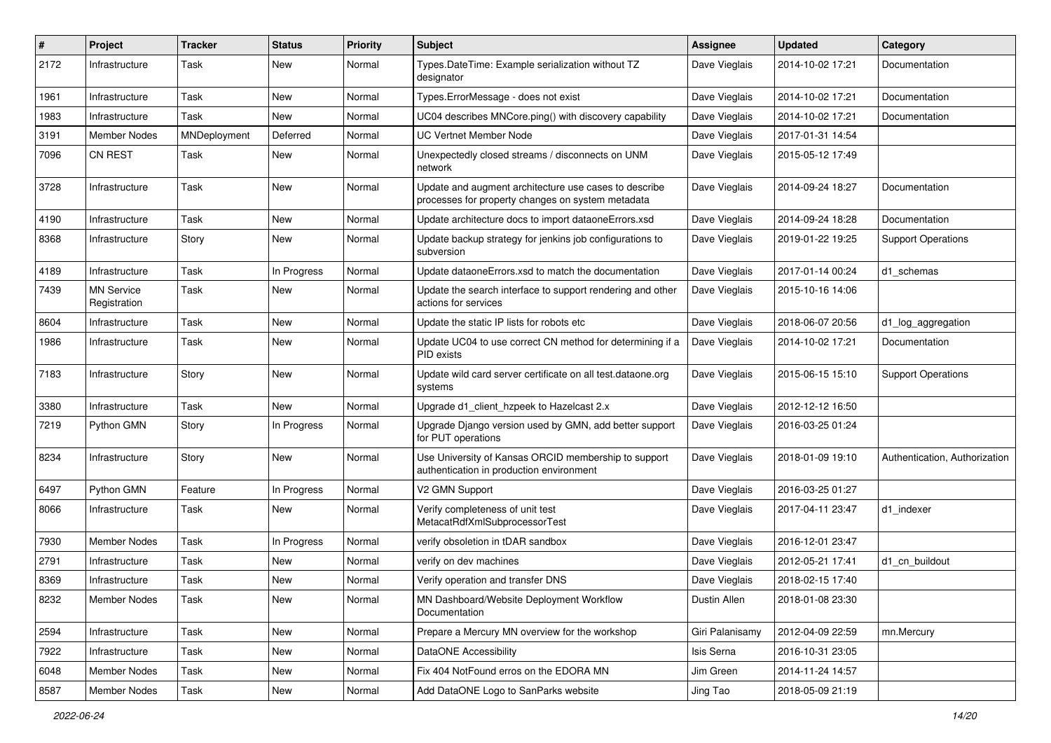| #    | Project                           | <b>Tracker</b> | <b>Status</b> | <b>Priority</b> | <b>Subject</b>                                                                                             | <b>Assignee</b> | <b>Updated</b>   | Category                      |
|------|-----------------------------------|----------------|---------------|-----------------|------------------------------------------------------------------------------------------------------------|-----------------|------------------|-------------------------------|
| 2172 | Infrastructure                    | Task           | New           | Normal          | Types.DateTime: Example serialization without TZ<br>designator                                             | Dave Vieglais   | 2014-10-02 17:21 | Documentation                 |
| 1961 | Infrastructure                    | Task           | <b>New</b>    | Normal          | Types.ErrorMessage - does not exist                                                                        | Dave Vieglais   | 2014-10-02 17:21 | Documentation                 |
| 1983 | Infrastructure                    | Task           | New           | Normal          | UC04 describes MNCore.ping() with discovery capability                                                     | Dave Vieglais   | 2014-10-02 17:21 | Documentation                 |
| 3191 | <b>Member Nodes</b>               | MNDeployment   | Deferred      | Normal          | <b>UC Vertnet Member Node</b>                                                                              | Dave Vieglais   | 2017-01-31 14:54 |                               |
| 7096 | <b>CN REST</b>                    | Task           | New           | Normal          | Unexpectedly closed streams / disconnects on UNM<br>network                                                | Dave Vieglais   | 2015-05-12 17:49 |                               |
| 3728 | Infrastructure                    | Task           | New           | Normal          | Update and augment architecture use cases to describe<br>processes for property changes on system metadata | Dave Vieglais   | 2014-09-24 18:27 | Documentation                 |
| 4190 | Infrastructure                    | Task           | <b>New</b>    | Normal          | Update architecture docs to import dataoneErrors.xsd                                                       | Dave Vieglais   | 2014-09-24 18:28 | Documentation                 |
| 8368 | Infrastructure                    | Story          | <b>New</b>    | Normal          | Update backup strategy for jenkins job configurations to<br>subversion                                     | Dave Vieglais   | 2019-01-22 19:25 | <b>Support Operations</b>     |
| 4189 | Infrastructure                    | Task           | In Progress   | Normal          | Update dataoneErrors.xsd to match the documentation                                                        | Dave Vieglais   | 2017-01-14 00:24 | d1 schemas                    |
| 7439 | <b>MN Service</b><br>Registration | Task           | New           | Normal          | Update the search interface to support rendering and other<br>actions for services                         | Dave Vieglais   | 2015-10-16 14:06 |                               |
| 8604 | Infrastructure                    | Task           | <b>New</b>    | Normal          | Update the static IP lists for robots etc                                                                  | Dave Vieglais   | 2018-06-07 20:56 | d1_log_aggregation            |
| 1986 | Infrastructure                    | Task           | New           | Normal          | Update UC04 to use correct CN method for determining if a<br>PID exists                                    | Dave Vieglais   | 2014-10-02 17:21 | Documentation                 |
| 7183 | Infrastructure                    | Story          | <b>New</b>    | Normal          | Update wild card server certificate on all test.dataone.org<br>systems                                     | Dave Vieglais   | 2015-06-15 15:10 | <b>Support Operations</b>     |
| 3380 | Infrastructure                    | Task           | New           | Normal          | Upgrade d1_client_hzpeek to Hazelcast 2.x                                                                  | Dave Vieglais   | 2012-12-12 16:50 |                               |
| 7219 | Python GMN                        | Story          | In Progress   | Normal          | Upgrade Django version used by GMN, add better support<br>for PUT operations                               | Dave Vieglais   | 2016-03-25 01:24 |                               |
| 8234 | Infrastructure                    | Story          | New           | Normal          | Use University of Kansas ORCID membership to support<br>authentication in production environment           | Dave Vieglais   | 2018-01-09 19:10 | Authentication, Authorization |
| 6497 | Python GMN                        | Feature        | In Progress   | Normal          | V2 GMN Support                                                                                             | Dave Vieglais   | 2016-03-25 01:27 |                               |
| 8066 | Infrastructure                    | Task           | New           | Normal          | Verify completeness of unit test<br>MetacatRdfXmlSubprocessorTest                                          | Dave Vieglais   | 2017-04-11 23:47 | d1 indexer                    |
| 7930 | <b>Member Nodes</b>               | Task           | In Progress   | Normal          | verify obsoletion in tDAR sandbox                                                                          | Dave Vieglais   | 2016-12-01 23:47 |                               |
| 2791 | Infrastructure                    | Task           | New           | Normal          | verify on dev machines                                                                                     | Dave Vieglais   | 2012-05-21 17:41 | d1 cn buildout                |
| 8369 | Infrastructure                    | Task           | New           | Normal          | Verify operation and transfer DNS                                                                          | Dave Vieglais   | 2018-02-15 17:40 |                               |
| 8232 | Member Nodes                      | Task           | New           | Normal          | MN Dashboard/Website Deployment Workflow<br>Documentation                                                  | Dustin Allen    | 2018-01-08 23:30 |                               |
| 2594 | Infrastructure                    | Task           | New           | Normal          | Prepare a Mercury MN overview for the workshop                                                             | Giri Palanisamy | 2012-04-09 22:59 | mn.Mercury                    |
| 7922 | Infrastructure                    | Task           | New           | Normal          | DataONE Accessibility                                                                                      | Isis Serna      | 2016-10-31 23:05 |                               |
| 6048 | Member Nodes                      | Task           | New           | Normal          | Fix 404 NotFound erros on the EDORA MN                                                                     | Jim Green       | 2014-11-24 14:57 |                               |
| 8587 | Member Nodes                      | Task           | New           | Normal          | Add DataONE Logo to SanParks website                                                                       | Jing Tao        | 2018-05-09 21:19 |                               |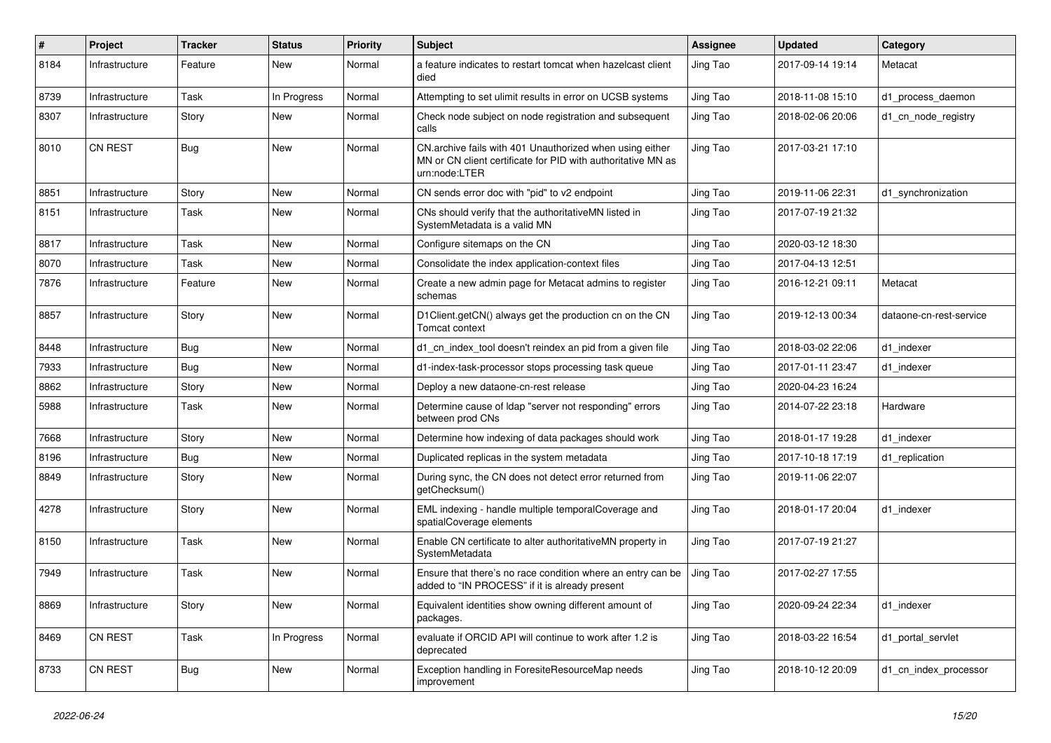| #    | Project        | <b>Tracker</b> | <b>Status</b> | <b>Priority</b> | <b>Subject</b>                                                                                                                            | <b>Assignee</b> | <b>Updated</b>   | Category                |
|------|----------------|----------------|---------------|-----------------|-------------------------------------------------------------------------------------------------------------------------------------------|-----------------|------------------|-------------------------|
| 8184 | Infrastructure | Feature        | New           | Normal          | a feature indicates to restart tomcat when hazelcast client<br>died                                                                       | Jing Tao        | 2017-09-14 19:14 | Metacat                 |
| 8739 | Infrastructure | Task           | In Progress   | Normal          | Attempting to set ulimit results in error on UCSB systems                                                                                 | Jing Tao        | 2018-11-08 15:10 | d1_process_daemon       |
| 8307 | Infrastructure | Story          | New           | Normal          | Check node subject on node registration and subsequent<br>calls                                                                           | Jing Tao        | 2018-02-06 20:06 | d1 cn node registry     |
| 8010 | <b>CN REST</b> | Bug            | New           | Normal          | CN.archive fails with 401 Unauthorized when using either<br>MN or CN client certificate for PID with authoritative MN as<br>urn:node:LTER | Jing Tao        | 2017-03-21 17:10 |                         |
| 8851 | Infrastructure | Story          | New           | Normal          | CN sends error doc with "pid" to v2 endpoint                                                                                              | Jing Tao        | 2019-11-06 22:31 | d1_synchronization      |
| 8151 | Infrastructure | Task           | New           | Normal          | CNs should verify that the authoritativeMN listed in<br>SystemMetadata is a valid MN                                                      | Jing Tao        | 2017-07-19 21:32 |                         |
| 8817 | Infrastructure | Task           | New           | Normal          | Configure sitemaps on the CN                                                                                                              | Jing Tao        | 2020-03-12 18:30 |                         |
| 8070 | Infrastructure | Task           | New           | Normal          | Consolidate the index application-context files                                                                                           | Jing Tao        | 2017-04-13 12:51 |                         |
| 7876 | Infrastructure | Feature        | New           | Normal          | Create a new admin page for Metacat admins to register<br>schemas                                                                         | Jing Tao        | 2016-12-21 09:11 | Metacat                 |
| 8857 | Infrastructure | Story          | New           | Normal          | D1Client.getCN() always get the production cn on the CN<br>Tomcat context                                                                 | Jing Tao        | 2019-12-13 00:34 | dataone-cn-rest-service |
| 8448 | Infrastructure | <b>Bug</b>     | New           | Normal          | d1_cn_index_tool doesn't reindex an pid from a given file                                                                                 | Jing Tao        | 2018-03-02 22:06 | d1_indexer              |
| 7933 | Infrastructure | <b>Bug</b>     | New           | Normal          | d1-index-task-processor stops processing task queue                                                                                       | Jing Tao        | 2017-01-11 23:47 | d1_indexer              |
| 8862 | Infrastructure | Story          | New           | Normal          | Deploy a new dataone-cn-rest release                                                                                                      | Jing Tao        | 2020-04-23 16:24 |                         |
| 5988 | Infrastructure | Task           | New           | Normal          | Determine cause of Idap "server not responding" errors<br>between prod CNs                                                                | Jing Tao        | 2014-07-22 23:18 | Hardware                |
| 7668 | Infrastructure | Story          | New           | Normal          | Determine how indexing of data packages should work                                                                                       | Jing Tao        | 2018-01-17 19:28 | d1_indexer              |
| 8196 | Infrastructure | <b>Bug</b>     | New           | Normal          | Duplicated replicas in the system metadata                                                                                                | Jing Tao        | 2017-10-18 17:19 | d1_replication          |
| 8849 | Infrastructure | Story          | New           | Normal          | During sync, the CN does not detect error returned from<br>getChecksum()                                                                  | Jing Tao        | 2019-11-06 22:07 |                         |
| 4278 | Infrastructure | Story          | New           | Normal          | EML indexing - handle multiple temporalCoverage and<br>spatialCoverage elements                                                           | Jing Tao        | 2018-01-17 20:04 | d1_indexer              |
| 8150 | Infrastructure | Task           | New           | Normal          | Enable CN certificate to alter authoritativeMN property in<br>SystemMetadata                                                              | Jing Tao        | 2017-07-19 21:27 |                         |
| 7949 | Infrastructure | Task           | New           | Normal          | Ensure that there's no race condition where an entry can be<br>added to "IN PROCESS" if it is already present                             | Jing Tao        | 2017-02-27 17:55 |                         |
| 8869 | Infrastructure | Story          | New           | Normal          | Equivalent identities show owning different amount of<br>packages.                                                                        | Jing Tao        | 2020-09-24 22:34 | d1 indexer              |
| 8469 | CN REST        | Task           | In Progress   | Normal          | evaluate if ORCID API will continue to work after 1.2 is<br>deprecated                                                                    | Jing Tao        | 2018-03-22 16:54 | d1_portal_servlet       |
| 8733 | CN REST        | <b>Bug</b>     | New           | Normal          | Exception handling in ForesiteResourceMap needs<br>improvement                                                                            | Jing Tao        | 2018-10-12 20:09 | d1_cn_index_processor   |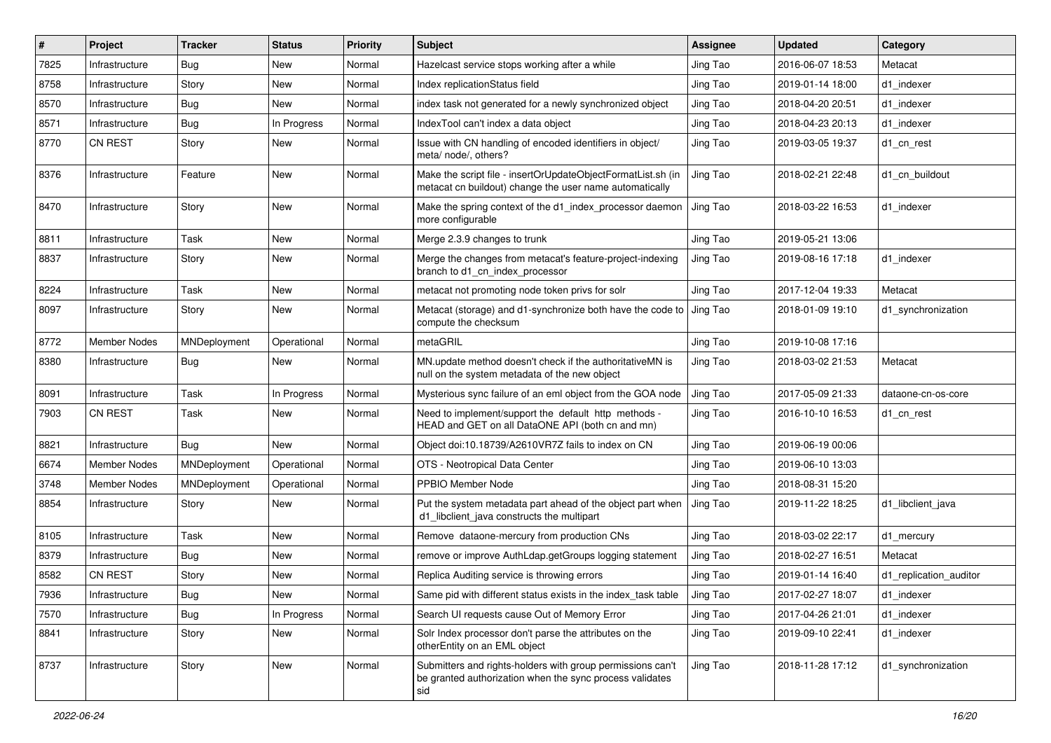| #    | Project             | <b>Tracker</b> | <b>Status</b> | <b>Priority</b> | Subject                                                                                                                       | <b>Assignee</b> | <b>Updated</b>   | Category               |
|------|---------------------|----------------|---------------|-----------------|-------------------------------------------------------------------------------------------------------------------------------|-----------------|------------------|------------------------|
| 7825 | Infrastructure      | <b>Bug</b>     | New           | Normal          | Hazelcast service stops working after a while                                                                                 | Jing Tao        | 2016-06-07 18:53 | Metacat                |
| 8758 | Infrastructure      | Story          | New           | Normal          | Index replicationStatus field                                                                                                 | Jing Tao        | 2019-01-14 18:00 | d1_indexer             |
| 8570 | Infrastructure      | Bug            | New           | Normal          | index task not generated for a newly synchronized object                                                                      | Jing Tao        | 2018-04-20 20:51 | d1 indexer             |
| 8571 | Infrastructure      | Bug            | In Progress   | Normal          | IndexTool can't index a data object                                                                                           | Jing Tao        | 2018-04-23 20:13 | d1 indexer             |
| 8770 | <b>CN REST</b>      | Story          | New           | Normal          | Issue with CN handling of encoded identifiers in object/<br>meta/ node/, others?                                              | Jing Tao        | 2019-03-05 19:37 | d1_cn_rest             |
| 8376 | Infrastructure      | Feature        | New           | Normal          | Make the script file - insertOrUpdateObjectFormatList.sh (in<br>metacat cn buildout) change the user name automatically       | Jing Tao        | 2018-02-21 22:48 | d1 cn buildout         |
| 8470 | Infrastructure      | Story          | New           | Normal          | Make the spring context of the d1 index processor daemon<br>more configurable                                                 | Jing Tao        | 2018-03-22 16:53 | d1 indexer             |
| 8811 | Infrastructure      | Task           | New           | Normal          | Merge 2.3.9 changes to trunk                                                                                                  | Jing Tao        | 2019-05-21 13:06 |                        |
| 8837 | Infrastructure      | Story          | New           | Normal          | Merge the changes from metacat's feature-project-indexing<br>branch to d1_cn_index_processor                                  | Jing Tao        | 2019-08-16 17:18 | d1 indexer             |
| 8224 | Infrastructure      | Task           | New           | Normal          | metacat not promoting node token privs for solr                                                                               | Jing Tao        | 2017-12-04 19:33 | Metacat                |
| 8097 | Infrastructure      | Story          | New           | Normal          | Metacat (storage) and d1-synchronize both have the code to J Jing Tao<br>compute the checksum                                 |                 | 2018-01-09 19:10 | d1 synchronization     |
| 8772 | Member Nodes        | MNDeployment   | Operational   | Normal          | metaGRIL                                                                                                                      | Jing Tao        | 2019-10-08 17:16 |                        |
| 8380 | Infrastructure      | Bug            | New           | Normal          | MN.update method doesn't check if the authoritativeMN is<br>null on the system metadata of the new object                     | Jing Tao        | 2018-03-02 21:53 | Metacat                |
| 8091 | Infrastructure      | Task           | In Progress   | Normal          | Mysterious sync failure of an eml object from the GOA node                                                                    | Jing Tao        | 2017-05-09 21:33 | dataone-cn-os-core     |
| 7903 | <b>CN REST</b>      | Task           | New           | Normal          | Need to implement/support the default http methods -<br>HEAD and GET on all DataONE API (both cn and mn)                      | Jing Tao        | 2016-10-10 16:53 | d1 cn rest             |
| 8821 | Infrastructure      | Bug            | New           | Normal          | Object doi:10.18739/A2610VR7Z fails to index on CN                                                                            | Jing Tao        | 2019-06-19 00:06 |                        |
| 6674 | <b>Member Nodes</b> | MNDeployment   | Operational   | Normal          | OTS - Neotropical Data Center                                                                                                 | Jing Tao        | 2019-06-10 13:03 |                        |
| 3748 | Member Nodes        | MNDeployment   | Operational   | Normal          | PPBIO Member Node                                                                                                             | Jing Tao        | 2018-08-31 15:20 |                        |
| 8854 | Infrastructure      | Story          | New           | Normal          | Put the system metadata part ahead of the object part when<br>d1_libclient_java constructs the multipart                      | Jing Tao        | 2019-11-22 18:25 | d1 libclient java      |
| 8105 | Infrastructure      | Task           | New           | Normal          | Remove dataone-mercury from production CNs                                                                                    | Jing Tao        | 2018-03-02 22:17 | d1 mercury             |
| 8379 | Infrastructure      | Bug            | New           | Normal          | remove or improve AuthLdap.getGroups logging statement                                                                        | Jing Tao        | 2018-02-27 16:51 | Metacat                |
| 8582 | CN REST             | Story          | New           | Normal          | Replica Auditing service is throwing errors                                                                                   | Jing Tao        | 2019-01-14 16:40 | d1_replication_auditor |
| 7936 | Infrastructure      | Bug            | New           | Normal          | Same pid with different status exists in the index_task table                                                                 | Jing Tao        | 2017-02-27 18:07 | d1_indexer             |
| 7570 | Infrastructure      | Bug            | In Progress   | Normal          | Search UI requests cause Out of Memory Error                                                                                  | Jing Tao        | 2017-04-26 21:01 | d1 indexer             |
| 8841 | Infrastructure      | Story          | New           | Normal          | Solr Index processor don't parse the attributes on the<br>otherEntity on an EML object                                        | Jing Tao        | 2019-09-10 22:41 | d1_indexer             |
| 8737 | Infrastructure      | Story          | New           | Normal          | Submitters and rights-holders with group permissions can't<br>be granted authorization when the sync process validates<br>sid | Jing Tao        | 2018-11-28 17:12 | d1_synchronization     |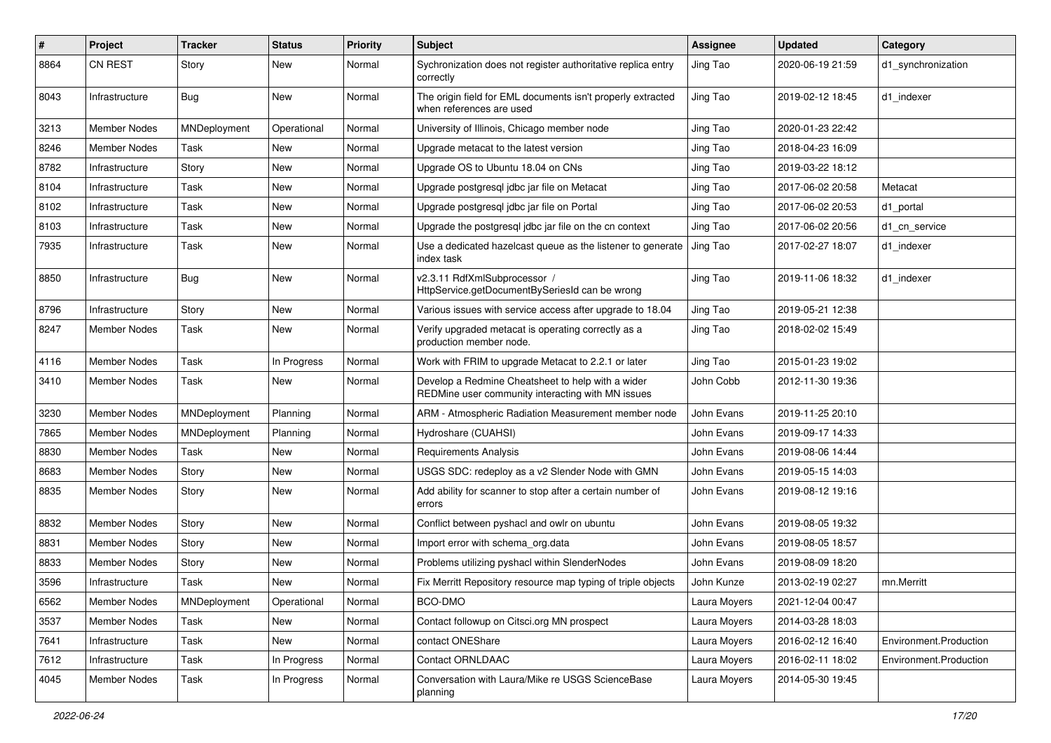| #    | Project             | <b>Tracker</b> | <b>Status</b> | <b>Priority</b> | <b>Subject</b>                                                                                         | <b>Assignee</b> | <b>Updated</b>   | Category               |
|------|---------------------|----------------|---------------|-----------------|--------------------------------------------------------------------------------------------------------|-----------------|------------------|------------------------|
| 8864 | <b>CN REST</b>      | Story          | New           | Normal          | Sychronization does not register authoritative replica entry<br>correctly                              | Jing Tao        | 2020-06-19 21:59 | d1 synchronization     |
| 8043 | Infrastructure      | <b>Bug</b>     | New           | Normal          | The origin field for EML documents isn't properly extracted<br>when references are used                | Jing Tao        | 2019-02-12 18:45 | d1_indexer             |
| 3213 | <b>Member Nodes</b> | MNDeployment   | Operational   | Normal          | University of Illinois, Chicago member node                                                            | Jing Tao        | 2020-01-23 22:42 |                        |
| 8246 | Member Nodes        | Task           | New           | Normal          | Upgrade metacat to the latest version                                                                  | Jing Tao        | 2018-04-23 16:09 |                        |
| 8782 | Infrastructure      | Story          | New           | Normal          | Upgrade OS to Ubuntu 18.04 on CNs                                                                      | Jing Tao        | 2019-03-22 18:12 |                        |
| 8104 | Infrastructure      | Task           | New           | Normal          | Upgrade postgresql jdbc jar file on Metacat                                                            | Jing Tao        | 2017-06-02 20:58 | Metacat                |
| 8102 | Infrastructure      | Task           | New           | Normal          | Upgrade postgresql jdbc jar file on Portal                                                             | Jing Tao        | 2017-06-02 20:53 | d1 portal              |
| 8103 | Infrastructure      | Task           | New           | Normal          | Upgrade the postgresql jdbc jar file on the cn context                                                 | Jing Tao        | 2017-06-02 20:56 | d1 cn service          |
| 7935 | Infrastructure      | Task           | New           | Normal          | Use a dedicated hazelcast queue as the listener to generate<br>index task                              | Jing Tao        | 2017-02-27 18:07 | d1 indexer             |
| 8850 | Infrastructure      | Bug            | New           | Normal          | v2.3.11 RdfXmlSubprocessor /<br>HttpService.getDocumentBySeriesId can be wrong                         | Jing Tao        | 2019-11-06 18:32 | d1_indexer             |
| 8796 | Infrastructure      | Story          | New           | Normal          | Various issues with service access after upgrade to 18.04                                              | Jing Tao        | 2019-05-21 12:38 |                        |
| 8247 | Member Nodes        | Task           | New           | Normal          | Verify upgraded metacat is operating correctly as a<br>production member node.                         | Jing Tao        | 2018-02-02 15:49 |                        |
| 4116 | <b>Member Nodes</b> | Task           | In Progress   | Normal          | Work with FRIM to upgrade Metacat to 2.2.1 or later                                                    | Jing Tao        | 2015-01-23 19:02 |                        |
| 3410 | Member Nodes        | Task           | New           | Normal          | Develop a Redmine Cheatsheet to help with a wider<br>REDMine user community interacting with MN issues | John Cobb       | 2012-11-30 19:36 |                        |
| 3230 | <b>Member Nodes</b> | MNDeployment   | Planning      | Normal          | ARM - Atmospheric Radiation Measurement member node                                                    | John Evans      | 2019-11-25 20:10 |                        |
| 7865 | Member Nodes        | MNDeployment   | Planning      | Normal          | Hydroshare (CUAHSI)                                                                                    | John Evans      | 2019-09-17 14:33 |                        |
| 8830 | Member Nodes        | Task           | New           | Normal          | <b>Requirements Analysis</b>                                                                           | John Evans      | 2019-08-06 14:44 |                        |
| 8683 | Member Nodes        | Story          | New           | Normal          | USGS SDC: redeploy as a v2 Slender Node with GMN                                                       | John Evans      | 2019-05-15 14:03 |                        |
| 8835 | Member Nodes        | Story          | New           | Normal          | Add ability for scanner to stop after a certain number of<br>errors                                    | John Evans      | 2019-08-12 19:16 |                        |
| 8832 | <b>Member Nodes</b> | Story          | New           | Normal          | Conflict between pyshacl and owlr on ubuntu                                                            | John Evans      | 2019-08-05 19:32 |                        |
| 8831 | Member Nodes        | Story          | New           | Normal          | Import error with schema org.data                                                                      | John Evans      | 2019-08-05 18:57 |                        |
| 8833 | <b>Member Nodes</b> | Story          | New           | Normal          | Problems utilizing pyshacl within SlenderNodes                                                         | John Evans      | 2019-08-09 18:20 |                        |
| 3596 | Infrastructure      | Task           | New           | Normal          | Fix Merritt Repository resource map typing of triple objects                                           | John Kunze      | 2013-02-19 02:27 | mn.Merritt             |
| 6562 | Member Nodes        | MNDeployment   | Operational   | Normal          | BCO-DMO                                                                                                | Laura Moyers    | 2021-12-04 00:47 |                        |
| 3537 | Member Nodes        | Task           | New           | Normal          | Contact followup on Citsci.org MN prospect                                                             | Laura Moyers    | 2014-03-28 18:03 |                        |
| 7641 | Infrastructure      | Task           | New           | Normal          | contact ONEShare                                                                                       | Laura Moyers    | 2016-02-12 16:40 | Environment.Production |
| 7612 | Infrastructure      | Task           | In Progress   | Normal          | Contact ORNLDAAC                                                                                       | Laura Moyers    | 2016-02-11 18:02 | Environment.Production |
| 4045 | Member Nodes        | Task           | In Progress   | Normal          | Conversation with Laura/Mike re USGS ScienceBase<br>planning                                           | Laura Moyers    | 2014-05-30 19:45 |                        |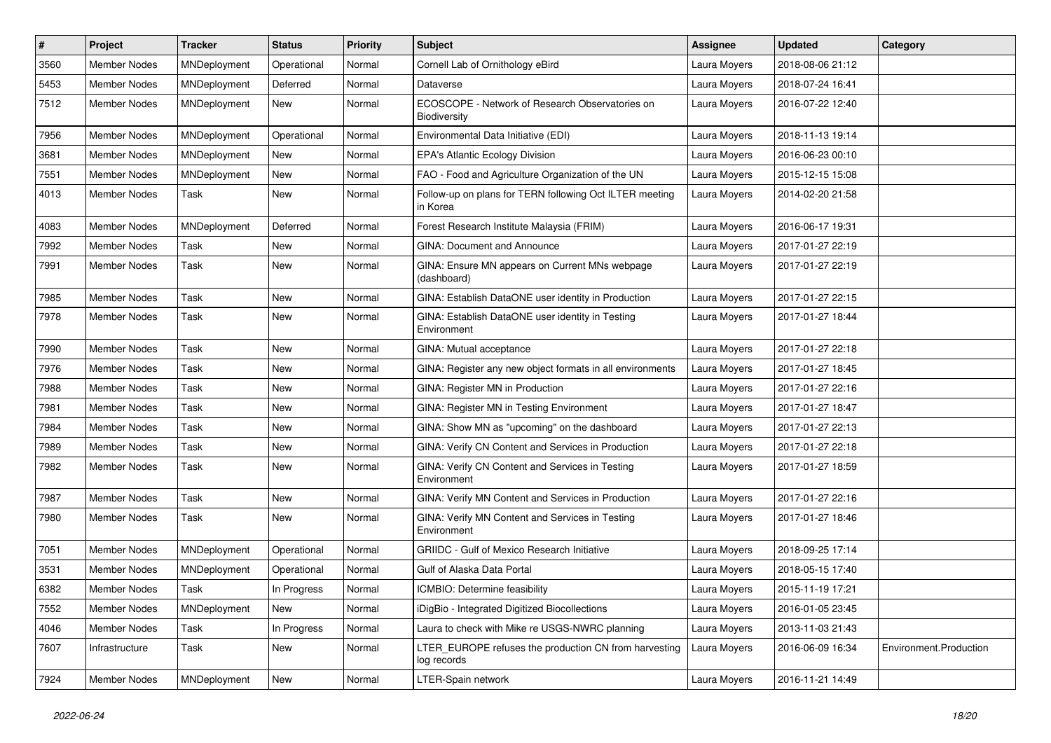| #    | Project             | <b>Tracker</b> | <b>Status</b> | <b>Priority</b> | Subject                                                              | <b>Assignee</b> | <b>Updated</b>   | Category               |
|------|---------------------|----------------|---------------|-----------------|----------------------------------------------------------------------|-----------------|------------------|------------------------|
| 3560 | <b>Member Nodes</b> | MNDeployment   | Operational   | Normal          | Cornell Lab of Ornithology eBird                                     | Laura Moyers    | 2018-08-06 21:12 |                        |
| 5453 | <b>Member Nodes</b> | MNDeployment   | Deferred      | Normal          | Dataverse                                                            | Laura Moyers    | 2018-07-24 16:41 |                        |
| 7512 | <b>Member Nodes</b> | MNDeployment   | New           | Normal          | ECOSCOPE - Network of Research Observatories on<br>Biodiversity      | Laura Moyers    | 2016-07-22 12:40 |                        |
| 7956 | <b>Member Nodes</b> | MNDeployment   | Operational   | Normal          | Environmental Data Initiative (EDI)                                  | Laura Moyers    | 2018-11-13 19:14 |                        |
| 3681 | <b>Member Nodes</b> | MNDeployment   | New           | Normal          | <b>EPA's Atlantic Ecology Division</b>                               | Laura Moyers    | 2016-06-23 00:10 |                        |
| 7551 | <b>Member Nodes</b> | MNDeployment   | <b>New</b>    | Normal          | FAO - Food and Agriculture Organization of the UN                    | Laura Moyers    | 2015-12-15 15:08 |                        |
| 4013 | Member Nodes        | Task           | New           | Normal          | Follow-up on plans for TERN following Oct ILTER meeting<br>in Korea  | Laura Moyers    | 2014-02-20 21:58 |                        |
| 4083 | Member Nodes        | MNDeployment   | Deferred      | Normal          | Forest Research Institute Malaysia (FRIM)                            | Laura Moyers    | 2016-06-17 19:31 |                        |
| 7992 | <b>Member Nodes</b> | Task           | New           | Normal          | <b>GINA: Document and Announce</b>                                   | Laura Moyers    | 2017-01-27 22:19 |                        |
| 7991 | Member Nodes        | Task           | New           | Normal          | GINA: Ensure MN appears on Current MNs webpage<br>(dashboard)        | Laura Moyers    | 2017-01-27 22:19 |                        |
| 7985 | Member Nodes        | Task           | New           | Normal          | GINA: Establish DataONE user identity in Production                  | Laura Moyers    | 2017-01-27 22:15 |                        |
| 7978 | Member Nodes        | Task           | New           | Normal          | GINA: Establish DataONE user identity in Testing<br>Environment      | Laura Moyers    | 2017-01-27 18:44 |                        |
| 7990 | <b>Member Nodes</b> | Task           | New           | Normal          | GINA: Mutual acceptance                                              | Laura Moyers    | 2017-01-27 22:18 |                        |
| 7976 | <b>Member Nodes</b> | Task           | New           | Normal          | GINA: Register any new object formats in all environments            | Laura Moyers    | 2017-01-27 18:45 |                        |
| 7988 | <b>Member Nodes</b> | Task           | New           | Normal          | GINA: Register MN in Production                                      | Laura Moyers    | 2017-01-27 22:16 |                        |
| 7981 | Member Nodes        | Task           | New           | Normal          | GINA: Register MN in Testing Environment                             | Laura Moyers    | 2017-01-27 18:47 |                        |
| 7984 | <b>Member Nodes</b> | Task           | New           | Normal          | GINA: Show MN as "upcoming" on the dashboard                         | Laura Moyers    | 2017-01-27 22:13 |                        |
| 7989 | <b>Member Nodes</b> | Task           | New           | Normal          | GINA: Verify CN Content and Services in Production                   | Laura Moyers    | 2017-01-27 22:18 |                        |
| 7982 | Member Nodes        | Task           | New           | Normal          | GINA: Verify CN Content and Services in Testing<br>Environment       | Laura Moyers    | 2017-01-27 18:59 |                        |
| 7987 | Member Nodes        | Task           | New           | Normal          | GINA: Verify MN Content and Services in Production                   | Laura Moyers    | 2017-01-27 22:16 |                        |
| 7980 | <b>Member Nodes</b> | Task           | New           | Normal          | GINA: Verify MN Content and Services in Testing<br>Environment       | Laura Moyers    | 2017-01-27 18:46 |                        |
| 7051 | <b>Member Nodes</b> | MNDeployment   | Operational   | Normal          | <b>GRIIDC</b> - Gulf of Mexico Research Initiative                   | Laura Moyers    | 2018-09-25 17:14 |                        |
| 3531 | <b>Member Nodes</b> | MNDeployment   | Operational   | Normal          | Gulf of Alaska Data Portal                                           | Laura Moyers    | 2018-05-15 17:40 |                        |
| 6382 | <b>Member Nodes</b> | Task           | In Progress   | Normal          | ICMBIO: Determine feasibility                                        | Laura Moyers    | 2015-11-19 17:21 |                        |
| 7552 | Member Nodes        | MNDeployment   | New           | Normal          | iDigBio - Integrated Digitized Biocollections                        | Laura Moyers    | 2016-01-05 23:45 |                        |
| 4046 | Member Nodes        | Task           | In Progress   | Normal          | Laura to check with Mike re USGS-NWRC planning                       | Laura Moyers    | 2013-11-03 21:43 |                        |
| 7607 | Infrastructure      | Task           | New           | Normal          | LTER EUROPE refuses the production CN from harvesting<br>log records | Laura Moyers    | 2016-06-09 16:34 | Environment.Production |
| 7924 | Member Nodes        | MNDeployment   | New           | Normal          | LTER-Spain network                                                   | Laura Moyers    | 2016-11-21 14:49 |                        |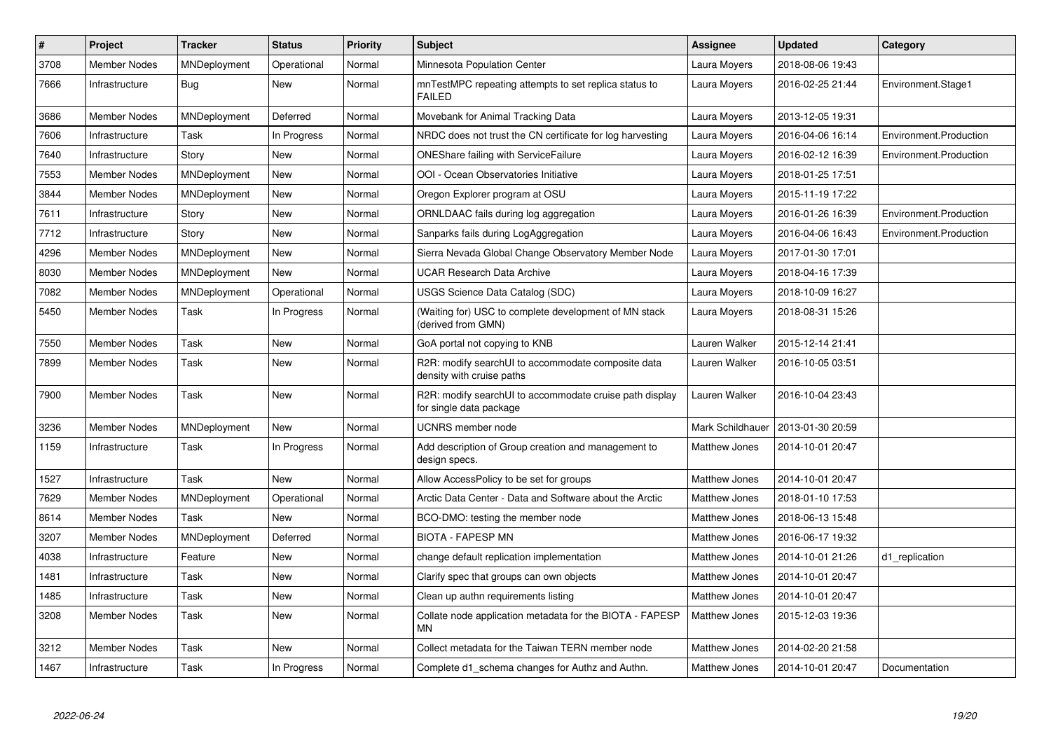| #    | Project             | <b>Tracker</b> | <b>Status</b> | <b>Priority</b> | <b>Subject</b>                                                                     | Assignee             | <b>Updated</b>   | Category               |
|------|---------------------|----------------|---------------|-----------------|------------------------------------------------------------------------------------|----------------------|------------------|------------------------|
| 3708 | Member Nodes        | MNDeployment   | Operational   | Normal          | Minnesota Population Center                                                        | Laura Moyers         | 2018-08-06 19:43 |                        |
| 7666 | Infrastructure      | Bug            | New           | Normal          | mnTestMPC repeating attempts to set replica status to<br><b>FAILED</b>             | Laura Moyers         | 2016-02-25 21:44 | Environment.Stage1     |
| 3686 | <b>Member Nodes</b> | MNDeployment   | Deferred      | Normal          | Movebank for Animal Tracking Data                                                  | Laura Moyers         | 2013-12-05 19:31 |                        |
| 7606 | Infrastructure      | Task           | In Progress   | Normal          | NRDC does not trust the CN certificate for log harvesting                          | Laura Moyers         | 2016-04-06 16:14 | Environment.Production |
| 7640 | Infrastructure      | Story          | New           | Normal          | <b>ONEShare failing with ServiceFailure</b>                                        | Laura Moyers         | 2016-02-12 16:39 | Environment.Production |
| 7553 | <b>Member Nodes</b> | MNDeployment   | New           | Normal          | OOI - Ocean Observatories Initiative                                               | Laura Moyers         | 2018-01-25 17:51 |                        |
| 3844 | <b>Member Nodes</b> | MNDeployment   | <b>New</b>    | Normal          | Oregon Explorer program at OSU                                                     | Laura Moyers         | 2015-11-19 17:22 |                        |
| 7611 | Infrastructure      | Story          | <b>New</b>    | Normal          | ORNLDAAC fails during log aggregation                                              | Laura Moyers         | 2016-01-26 16:39 | Environment.Production |
| 7712 | Infrastructure      | Story          | <b>New</b>    | Normal          | Sanparks fails during LogAggregation                                               | Laura Moyers         | 2016-04-06 16:43 | Environment.Production |
| 4296 | Member Nodes        | MNDeployment   | <b>New</b>    | Normal          | Sierra Nevada Global Change Observatory Member Node                                | Laura Moyers         | 2017-01-30 17:01 |                        |
| 8030 | <b>Member Nodes</b> | MNDeployment   | New           | Normal          | <b>UCAR Research Data Archive</b>                                                  | Laura Moyers         | 2018-04-16 17:39 |                        |
| 7082 | Member Nodes        | MNDeployment   | Operational   | Normal          | USGS Science Data Catalog (SDC)                                                    | Laura Moyers         | 2018-10-09 16:27 |                        |
| 5450 | Member Nodes        | Task           | In Progress   | Normal          | (Waiting for) USC to complete development of MN stack<br>(derived from GMN)        | Laura Moyers         | 2018-08-31 15:26 |                        |
| 7550 | Member Nodes        | Task           | <b>New</b>    | Normal          | GoA portal not copying to KNB                                                      | Lauren Walker        | 2015-12-14 21:41 |                        |
| 7899 | <b>Member Nodes</b> | Task           | <b>New</b>    | Normal          | R2R: modify searchUI to accommodate composite data<br>density with cruise paths    | Lauren Walker        | 2016-10-05 03:51 |                        |
| 7900 | <b>Member Nodes</b> | Task           | <b>New</b>    | Normal          | R2R: modify searchUI to accommodate cruise path display<br>for single data package | Lauren Walker        | 2016-10-04 23:43 |                        |
| 3236 | <b>Member Nodes</b> | MNDeployment   | <b>New</b>    | Normal          | <b>UCNRS</b> member node                                                           | Mark Schildhauer     | 2013-01-30 20:59 |                        |
| 1159 | Infrastructure      | Task           | In Progress   | Normal          | Add description of Group creation and management to<br>design specs.               | <b>Matthew Jones</b> | 2014-10-01 20:47 |                        |
| 1527 | Infrastructure      | Task           | <b>New</b>    | Normal          | Allow AccessPolicy to be set for groups                                            | Matthew Jones        | 2014-10-01 20:47 |                        |
| 7629 | <b>Member Nodes</b> | MNDeployment   | Operational   | Normal          | Arctic Data Center - Data and Software about the Arctic                            | <b>Matthew Jones</b> | 2018-01-10 17:53 |                        |
| 8614 | <b>Member Nodes</b> | Task           | <b>New</b>    | Normal          | BCO-DMO: testing the member node                                                   | Matthew Jones        | 2018-06-13 15:48 |                        |
| 3207 | <b>Member Nodes</b> | MNDeployment   | Deferred      | Normal          | <b>BIOTA - FAPESP MN</b>                                                           | <b>Matthew Jones</b> | 2016-06-17 19:32 |                        |
| 4038 | Infrastructure      | Feature        | <b>New</b>    | Normal          | change default replication implementation                                          | <b>Matthew Jones</b> | 2014-10-01 21:26 | d1_replication         |
| 1481 | Infrastructure      | Task           | <b>New</b>    | Normal          | Clarify spec that groups can own objects                                           | <b>Matthew Jones</b> | 2014-10-01 20:47 |                        |
| 1485 | Infrastructure      | Task           | New           | Normal          | Clean up authn requirements listing                                                | <b>Matthew Jones</b> | 2014-10-01 20:47 |                        |
| 3208 | Member Nodes        | Task           | New           | Normal          | Collate node application metadata for the BIOTA - FAPESP<br><b>MN</b>              | Matthew Jones        | 2015-12-03 19:36 |                        |
| 3212 | Member Nodes        | Task           | New           | Normal          | Collect metadata for the Taiwan TERN member node                                   | Matthew Jones        | 2014-02-20 21:58 |                        |
| 1467 | Infrastructure      | Task           | In Progress   | Normal          | Complete d1_schema changes for Authz and Authn.                                    | <b>Matthew Jones</b> | 2014-10-01 20:47 | Documentation          |